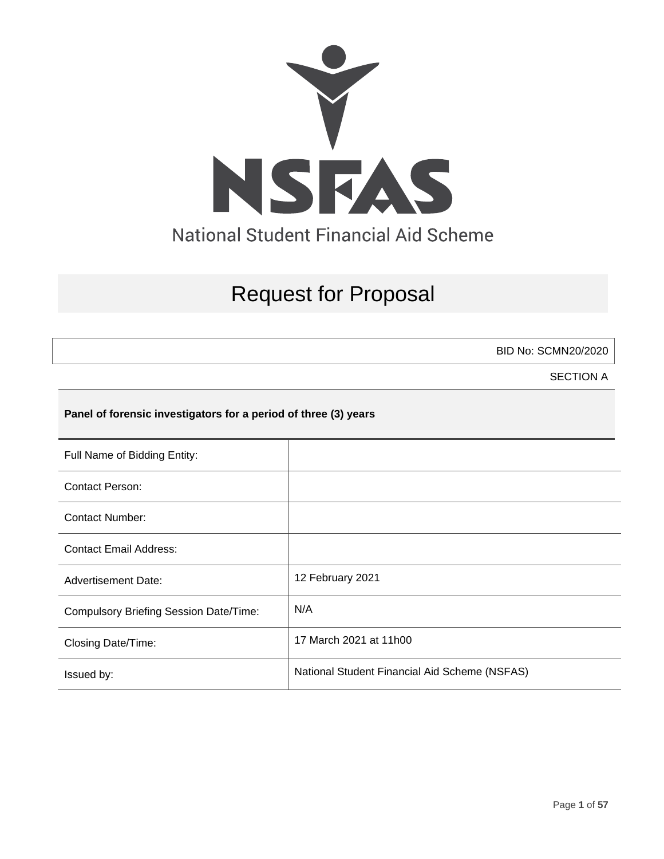

# Request for Proposal

BID No: SCMN20/2020

SECTION A

## **Panel of forensic investigators for a period of three (3) years**

| Full Name of Bidding Entity:                  |                                               |
|-----------------------------------------------|-----------------------------------------------|
| <b>Contact Person:</b>                        |                                               |
| Contact Number:                               |                                               |
| <b>Contact Email Address:</b>                 |                                               |
| <b>Advertisement Date:</b>                    | 12 February 2021                              |
| <b>Compulsory Briefing Session Date/Time:</b> | N/A                                           |
| Closing Date/Time:                            | 17 March 2021 at 11h00                        |
| Issued by:                                    | National Student Financial Aid Scheme (NSFAS) |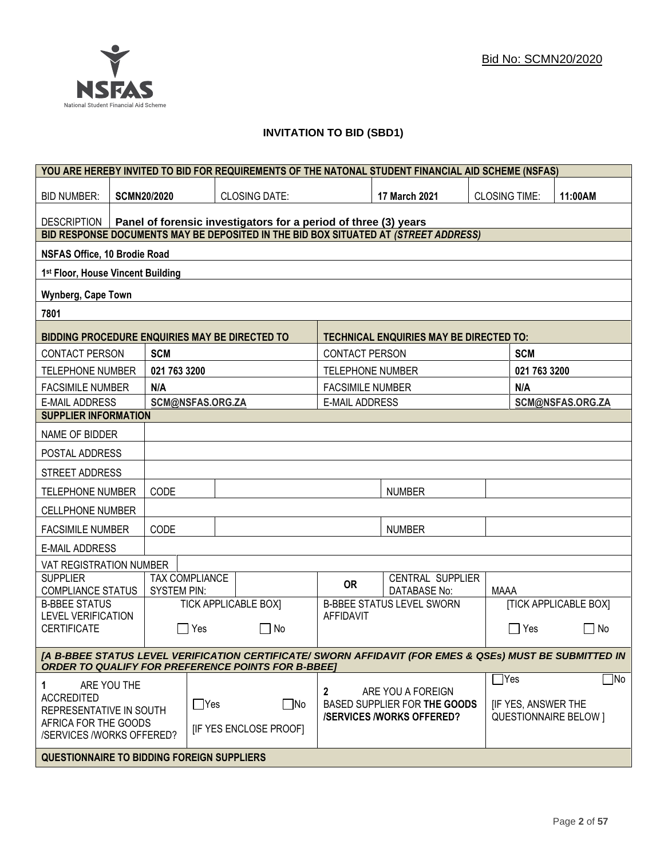## **INVITATION TO BID (SBD1)**

|                                                                                                                                                                      | YOU ARE HEREBY INVITED TO BID FOR REQUIREMENTS OF THE NATONAL STUDENT FINANCIAL AID SCHEME (NSFAS) |                                                             |                       |                                                                                     |                                                                 |                                                   |             |                                               |                              |
|----------------------------------------------------------------------------------------------------------------------------------------------------------------------|----------------------------------------------------------------------------------------------------|-------------------------------------------------------------|-----------------------|-------------------------------------------------------------------------------------|-----------------------------------------------------------------|---------------------------------------------------|-------------|-----------------------------------------------|------------------------------|
| <b>BID NUMBER:</b>                                                                                                                                                   |                                                                                                    | <b>SCMN20/2020</b><br><b>CLOSING DATE:</b><br>17 March 2021 |                       | <b>CLOSING TIME:</b>                                                                |                                                                 | 11:00AM                                           |             |                                               |                              |
| Panel of forensic investigators for a period of three (3) years<br>DESCRIPTION                                                                                       |                                                                                                    |                                                             |                       |                                                                                     |                                                                 |                                                   |             |                                               |                              |
|                                                                                                                                                                      |                                                                                                    |                                                             |                       | BID RESPONSE DOCUMENTS MAY BE DEPOSITED IN THE BID BOX SITUATED AT (STREET ADDRESS) |                                                                 |                                                   |             |                                               |                              |
| <b>NSFAS Office, 10 Brodie Road</b>                                                                                                                                  |                                                                                                    |                                                             |                       |                                                                                     |                                                                 |                                                   |             |                                               |                              |
| 1st Floor, House Vincent Building                                                                                                                                    |                                                                                                    |                                                             |                       |                                                                                     |                                                                 |                                                   |             |                                               |                              |
| Wynberg, Cape Town                                                                                                                                                   |                                                                                                    |                                                             |                       |                                                                                     |                                                                 |                                                   |             |                                               |                              |
| 7801                                                                                                                                                                 |                                                                                                    |                                                             |                       |                                                                                     |                                                                 |                                                   |             |                                               |                              |
| BIDDING PROCEDURE ENQUIRIES MAY BE DIRECTED TO                                                                                                                       |                                                                                                    |                                                             |                       |                                                                                     |                                                                 | <b>TECHNICAL ENQUIRIES MAY BE DIRECTED TO:</b>    |             |                                               |                              |
| <b>CONTACT PERSON</b>                                                                                                                                                |                                                                                                    | <b>SCM</b>                                                  |                       |                                                                                     | <b>CONTACT PERSON</b>                                           |                                                   |             | <b>SCM</b>                                    |                              |
| <b>TELEPHONE NUMBER</b>                                                                                                                                              |                                                                                                    | 021 763 3200                                                |                       |                                                                                     | <b>TELEPHONE NUMBER</b>                                         |                                                   |             | 021 763 3200                                  |                              |
| <b>FACSIMILE NUMBER</b>                                                                                                                                              |                                                                                                    | N/A                                                         |                       |                                                                                     | <b>FACSIMILE NUMBER</b>                                         |                                                   |             | N/A                                           |                              |
| <b>E-MAIL ADDRESS</b>                                                                                                                                                |                                                                                                    |                                                             | SCM@NSFAS.ORG.ZA      |                                                                                     | <b>E-MAIL ADDRESS</b>                                           |                                                   |             |                                               | SCM@NSFAS.ORG.ZA             |
| <b>SUPPLIER INFORMATION</b>                                                                                                                                          |                                                                                                    |                                                             |                       |                                                                                     |                                                                 |                                                   |             |                                               |                              |
| NAME OF BIDDER                                                                                                                                                       |                                                                                                    |                                                             |                       |                                                                                     |                                                                 |                                                   |             |                                               |                              |
| POSTAL ADDRESS                                                                                                                                                       |                                                                                                    |                                                             |                       |                                                                                     |                                                                 |                                                   |             |                                               |                              |
| STREET ADDRESS                                                                                                                                                       |                                                                                                    |                                                             |                       |                                                                                     |                                                                 |                                                   |             |                                               |                              |
|                                                                                                                                                                      | CODE<br><b>NUMBER</b><br><b>TELEPHONE NUMBER</b>                                                   |                                                             |                       |                                                                                     |                                                                 |                                                   |             |                                               |                              |
| <b>CELLPHONE NUMBER</b>                                                                                                                                              |                                                                                                    |                                                             |                       |                                                                                     |                                                                 |                                                   |             |                                               |                              |
| <b>FACSIMILE NUMBER</b>                                                                                                                                              |                                                                                                    | CODE                                                        |                       |                                                                                     |                                                                 | <b>NUMBER</b>                                     |             |                                               |                              |
| <b>E-MAIL ADDRESS</b>                                                                                                                                                |                                                                                                    |                                                             |                       |                                                                                     |                                                                 |                                                   |             |                                               |                              |
| VAT REGISTRATION NUMBER                                                                                                                                              |                                                                                                    |                                                             |                       |                                                                                     |                                                                 |                                                   |             |                                               |                              |
| <b>SUPPLIER</b><br><b>COMPLIANCE STATUS</b>                                                                                                                          |                                                                                                    | <b>SYSTEM PIN:</b>                                          | <b>TAX COMPLIANCE</b> |                                                                                     | <b>OR</b>                                                       | CENTRAL SUPPLIER<br>DATABASE No:                  | <b>MAAA</b> |                                               |                              |
| <b>B-BBEE STATUS</b>                                                                                                                                                 |                                                                                                    |                                                             |                       | <b>TICK APPLICABLE BOX]</b>                                                         |                                                                 | <b>B-BBEE STATUS LEVEL SWORN</b>                  |             |                                               | <b>[TICK APPLICABLE BOX]</b> |
| <b>LEVEL VERIFICATION</b><br><b>CERTIFICATE</b>                                                                                                                      |                                                                                                    |                                                             | Yes                   | □ No                                                                                | <b>AFFIDAVIT</b>                                                |                                                   |             | ∣ Yes                                         | $\mathsf{L}$<br>No           |
|                                                                                                                                                                      |                                                                                                    |                                                             |                       |                                                                                     |                                                                 |                                                   |             |                                               |                              |
| [A B-BBEE STATUS LEVEL VERIFICATION CERTIFICATE/ SWORN AFFIDAVIT (FOR EMES & QSEs) MUST BE SUBMITTED IN<br><b>ORDER TO QUALIFY FOR PREFERENCE POINTS FOR B-BBEE]</b> |                                                                                                    |                                                             |                       |                                                                                     |                                                                 |                                                   |             |                                               |                              |
| 1<br><b>ACCREDITED</b><br>REPRESENTATIVE IN SOUTH                                                                                                                    | ARE YOU THE                                                                                        |                                                             | $\Box$ Yes            | ∣_ No                                                                               | $\mathbf{2}$                                                    | ARE YOU A FOREIGN<br>BASED SUPPLIER FOR THE GOODS |             | $\mathsf{T}$ Yes<br><b>IF YES, ANSWER THE</b> | $\Box$ No                    |
| AFRICA FOR THE GOODS<br>/SERVICES /WORKS OFFERED?                                                                                                                    |                                                                                                    |                                                             |                       | <b>IF YES ENCLOSE PROOFI</b>                                                        | <b>/SERVICES/WORKS OFFERED?</b><br><b>QUESTIONNAIRE BELOW 1</b> |                                                   |             |                                               |                              |
| <b>QUESTIONNAIRE TO BIDDING FOREIGN SUPPLIERS</b>                                                                                                                    |                                                                                                    |                                                             |                       |                                                                                     |                                                                 |                                                   |             |                                               |                              |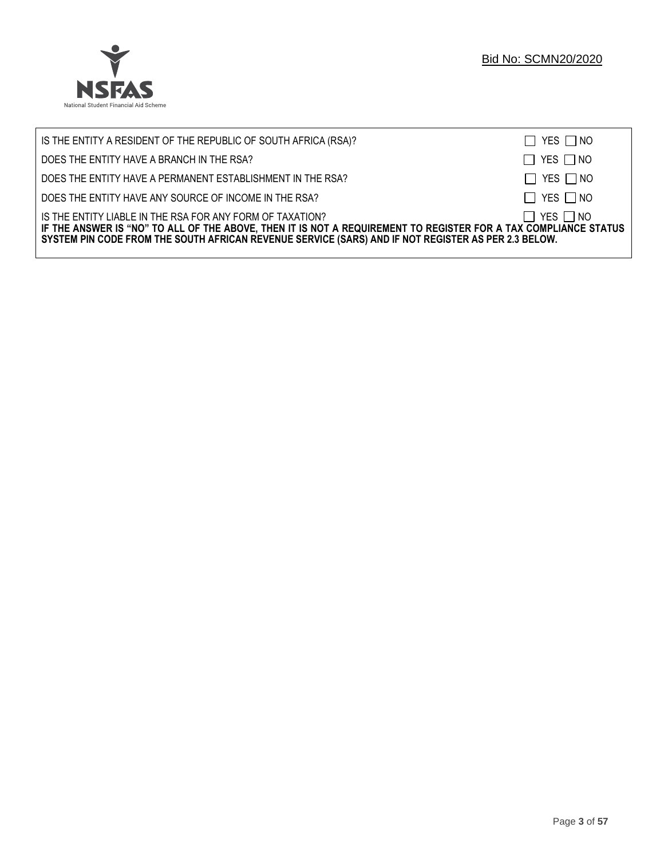

| IS THE ENTITY A RESIDENT OF THE REPUBLIC OF SOUTH AFRICA (RSA)?                                                                                                                                                                                                                     | $\Box$ YES $\Box$ NO |
|-------------------------------------------------------------------------------------------------------------------------------------------------------------------------------------------------------------------------------------------------------------------------------------|----------------------|
| DOES THE ENTITY HAVE A BRANCH IN THE RSA?                                                                                                                                                                                                                                           | $\Box$ YES $\Box$ NO |
| DOES THE ENTITY HAVE A PERMANENT ESTABLISHMENT IN THE RSA?                                                                                                                                                                                                                          | $\Box$ YES $\Box$ NO |
| DOES THE ENTITY HAVE ANY SOURCE OF INCOME IN THE RSA?                                                                                                                                                                                                                               | $\Box$ YES $\Box$ NO |
| IS THE ENTITY LIABLE IN THE RSA FOR ANY FORM OF TAXATION?<br>IF THE ANSWER IS "NO" TO ALL OF THE ABOVE, THEN IT IS NOT A REQUIREMENT TO REGISTER FOR A TAX COMPLIANCE STATUS<br>SYSTEM PIN CODE FROM THE SOUTH AFRICAN REVENUE SERVICE (SARS) AND IF NOT REGISTER AS PER 2.3 BELOW. | $\Box$ YES $\Box$ NO |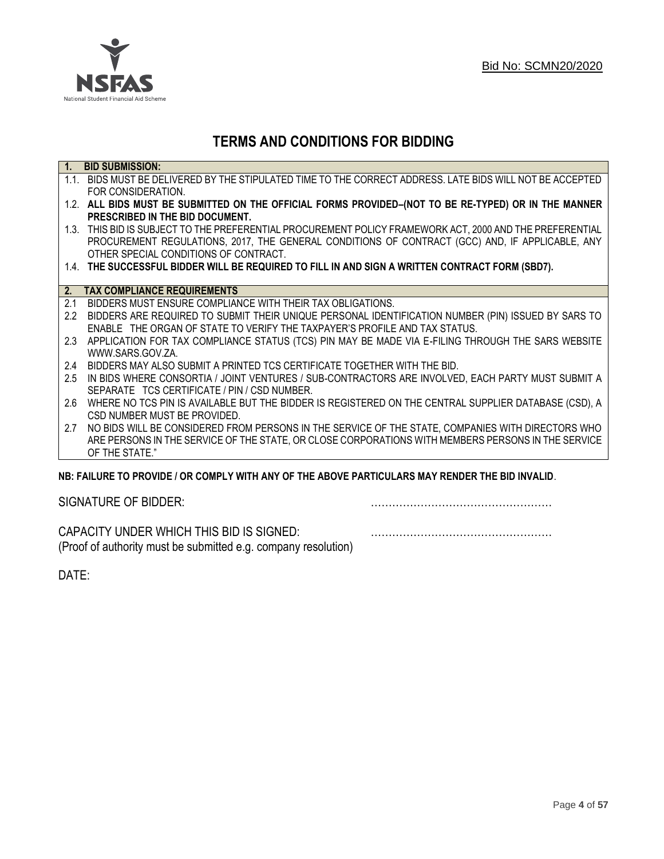

## **TERMS AND CONDITIONS FOR BIDDING**

| $\overline{1}$ . | <b>BID SUBMISSION:</b>                                                                                    |
|------------------|-----------------------------------------------------------------------------------------------------------|
|                  | 1.1. BIDS MUST BE DELIVERED BY THE STIPULATED TIME TO THE CORRECT ADDRESS. LATE BIDS WILL NOT BE ACCEPTED |
|                  | FOR CONSIDERATION.                                                                                        |
|                  | 1.2. ALL BIDS MUST BE SUBMITTED ON THE OFFICIAL FORMS PROVIDED-(NOT TO BE RE-TYPED) OR IN THE MANNER      |
|                  | PRESCRIBED IN THE BID DOCUMENT.                                                                           |
|                  | 1.3. THIS BID IS SUBJECT TO THE PREFERENTIAL PROCUREMENT POLICY FRAMEWORK ACT, 2000 AND THE PREFERENTIAL  |
|                  | PROCUREMENT REGULATIONS, 2017, THE GENERAL CONDITIONS OF CONTRACT (GCC) AND, IF APPLICABLE, ANY           |
|                  | OTHER SPECIAL CONDITIONS OF CONTRACT.                                                                     |
|                  | 1.4. THE SUCCESSFUL BIDDER WILL BE REQUIRED TO FILL IN AND SIGN A WRITTEN CONTRACT FORM (SBD7).           |
|                  |                                                                                                           |
| 2.               | <b>TAX COMPLIANCE REQUIREMENTS</b>                                                                        |
| 2.1              | BIDDERS MUST ENSURE COMPLIANCE WITH THEIR TAX OBLIGATIONS.                                                |
| 2.2              | BIDDERS ARE REQUIRED TO SUBMIT THEIR UNIQUE PERSONAL IDENTIFICATION NUMBER (PIN) ISSUED BY SARS TO        |
|                  | ENABLE THE ORGAN OF STATE TO VERIFY THE TAXPAYER'S PROFILE AND TAX STATUS.                                |
| 2.3              | APPLICATION FOR TAX COMPLIANCE STATUS (TCS) PIN MAY BE MADE VIA E-FILING THROUGH THE SARS WEBSITE         |
|                  | WWW.SARS.GOV.ZA.                                                                                          |
| 2.4              | BIDDERS MAY ALSO SUBMIT A PRINTED TCS CERTIFICATE TOGETHER WITH THE BID.                                  |
| 2.5              | IN BIDS WHERE CONSORTIA / JOINT VENTURES / SUB-CONTRACTORS ARE INVOLVED, EACH PARTY MUST SUBMIT A         |
|                  | SEPARATE TCS CERTIFICATE / PIN / CSD NUMBER.                                                              |
| 2.6              | WHERE NO TCS PIN IS AVAILABLE BUT THE BIDDER IS REGISTERED ON THE CENTRAL SUPPLIER DATABASE (CSD), A      |
|                  | CSD NUMBER MUST BE PROVIDED.                                                                              |
| 2.7              | NO BIDS WILL BE CONSIDERED FROM PERSONS IN THE SERVICE OF THE STATE, COMPANIES WITH DIRECTORS WHO         |
|                  | ARE PERSONS IN THE SERVICE OF THE STATE, OR CLOSE CORPORATIONS WITH MEMBERS PERSONS IN THE SERVICE        |
|                  | OF THE STATE."                                                                                            |
|                  | NR: EAILHRE TO DROVINE LOR COMPLY WITH ANY OF THE AROVE DARTICHLARS MAY RENNER THE RID INVALID            |

## **NB: FAILURE TO PROVIDE / OR COMPLY WITH ANY OF THE ABOVE PARTICULARS MAY RENDER THE BID INVALID**.

|  | SIGNATURE OF BIDDER: |
|--|----------------------|
|--|----------------------|

SIGNATURE OF BIDDER: ……………………………………………

CAPACITY UNDER WHICH THIS BID IS SIGNED: …………………………………………… (Proof of authority must be submitted e.g. company resolution)

DATE: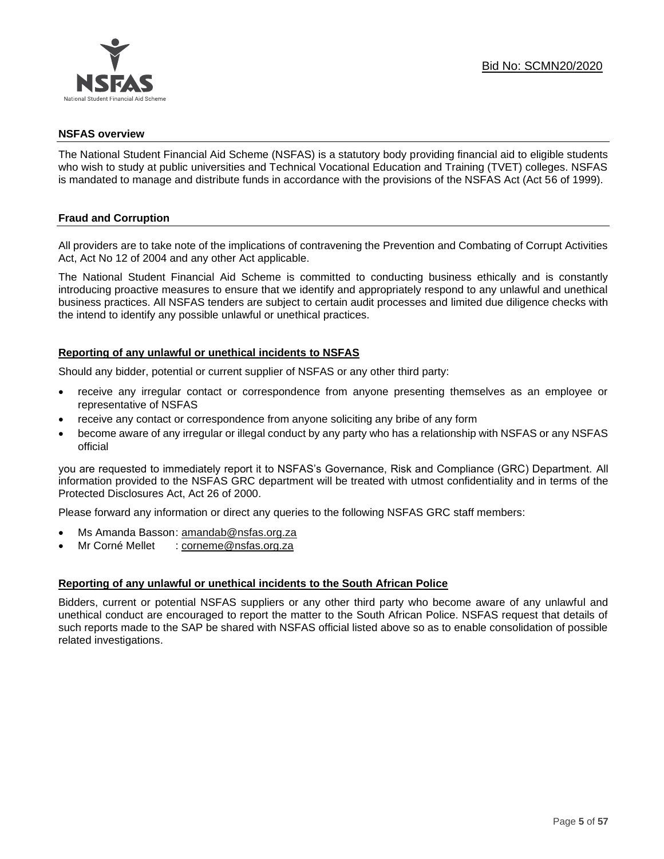

#### **NSFAS overview**

The National Student Financial Aid Scheme (NSFAS) is a statutory body providing financial aid to eligible students who wish to study at public universities and Technical Vocational Education and Training (TVET) colleges. NSFAS is mandated to manage and distribute funds in accordance with the provisions of the NSFAS Act (Act 56 of 1999).

### **Fraud and Corruption**

All providers are to take note of the implications of contravening the Prevention and Combating of Corrupt Activities Act, Act No 12 of 2004 and any other Act applicable.

The National Student Financial Aid Scheme is committed to conducting business ethically and is constantly introducing proactive measures to ensure that we identify and appropriately respond to any unlawful and unethical business practices. All NSFAS tenders are subject to certain audit processes and limited due diligence checks with the intend to identify any possible unlawful or unethical practices.

#### **Reporting of any unlawful or unethical incidents to NSFAS**

Should any bidder, potential or current supplier of NSFAS or any other third party:

- receive any irregular contact or correspondence from anyone presenting themselves as an employee or representative of NSFAS
- receive any contact or correspondence from anyone soliciting any bribe of any form
- become aware of any irregular or illegal conduct by any party who has a relationship with NSFAS or any NSFAS official

you are requested to immediately report it to NSFAS's Governance, Risk and Compliance (GRC) Department. All information provided to the NSFAS GRC department will be treated with utmost confidentiality and in terms of the Protected Disclosures Act, Act 26 of 2000.

Please forward any information or direct any queries to the following NSFAS GRC staff members:

- Ms Amanda Basson: [amandab@nsfas.org.za](mailto:amandab@nsfas.org.za)
- Mr Corné Mellet : [corneme@nsfas.org.za](mailto:corneme@nsfas.org.za)

#### **Reporting of any unlawful or unethical incidents to the South African Police**

Bidders, current or potential NSFAS suppliers or any other third party who become aware of any unlawful and unethical conduct are encouraged to report the matter to the South African Police. NSFAS request that details of such reports made to the SAP be shared with NSFAS official listed above so as to enable consolidation of possible related investigations.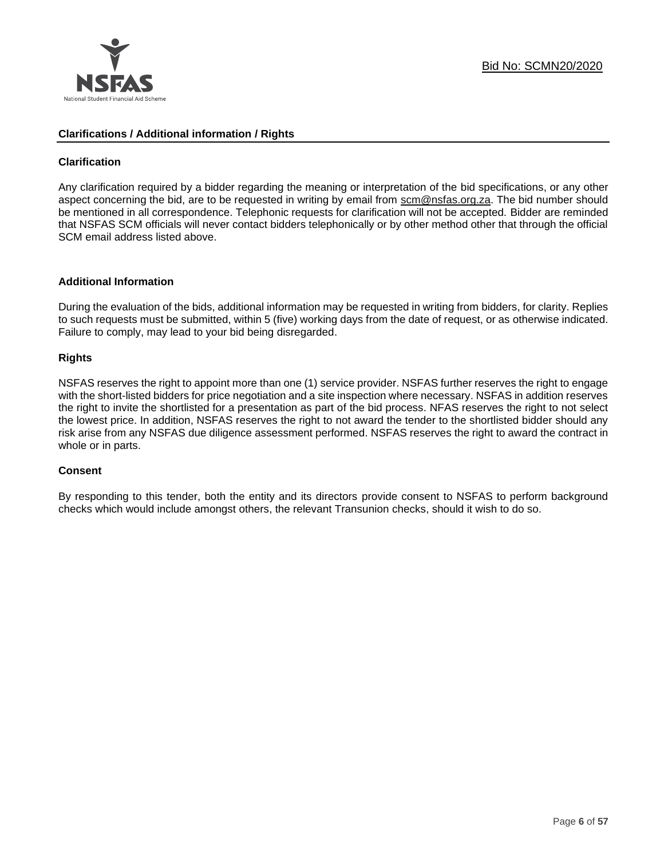

#### **Clarifications / Additional information / Rights**

### **Clarification**

Any clarification required by a bidder regarding the meaning or interpretation of the bid specifications, or any other aspect concerning the bid, are to be requested in writing by email from scm@nsfas.org.za. The bid number should be mentioned in all correspondence. Telephonic requests for clarification will not be accepted. Bidder are reminded that NSFAS SCM officials will never contact bidders telephonically or by other method other that through the official SCM email address listed above.

#### **Additional Information**

During the evaluation of the bids, additional information may be requested in writing from bidders, for clarity. Replies to such requests must be submitted, within 5 (five) working days from the date of request, or as otherwise indicated. Failure to comply, may lead to your bid being disregarded.

### **Rights**

NSFAS reserves the right to appoint more than one (1) service provider. NSFAS further reserves the right to engage with the short-listed bidders for price negotiation and a site inspection where necessary. NSFAS in addition reserves the right to invite the shortlisted for a presentation as part of the bid process. NFAS reserves the right to not select the lowest price. In addition, NSFAS reserves the right to not award the tender to the shortlisted bidder should any risk arise from any NSFAS due diligence assessment performed. NSFAS reserves the right to award the contract in whole or in parts.

#### **Consent**

By responding to this tender, both the entity and its directors provide consent to NSFAS to perform background checks which would include amongst others, the relevant Transunion checks, should it wish to do so.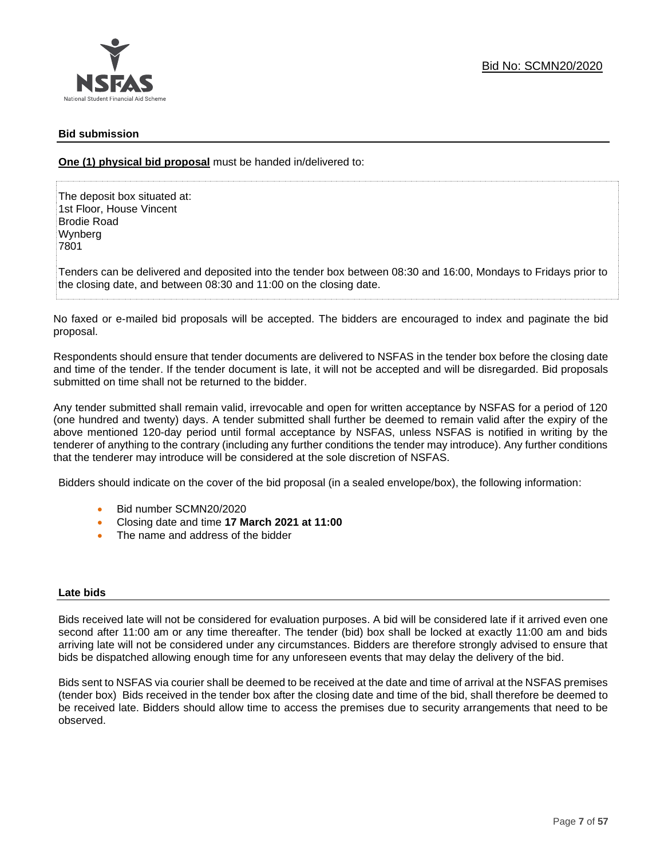## **Bid submission**

**One (1) physical bid proposal** must be handed in/delivered to:

The deposit box situated at: 1st Floor, House Vincent Brodie Road Wynberg 7801

Tenders can be delivered and deposited into the tender box between 08:30 and 16:00, Mondays to Fridays prior to the closing date, and between 08:30 and 11:00 on the closing date.

No faxed or e-mailed bid proposals will be accepted. The bidders are encouraged to index and paginate the bid proposal.

Respondents should ensure that tender documents are delivered to NSFAS in the tender box before the closing date and time of the tender. If the tender document is late, it will not be accepted and will be disregarded. Bid proposals submitted on time shall not be returned to the bidder.

Any tender submitted shall remain valid, irrevocable and open for written acceptance by NSFAS for a period of 120 (one hundred and twenty) days. A tender submitted shall further be deemed to remain valid after the expiry of the above mentioned 120-day period until formal acceptance by NSFAS, unless NSFAS is notified in writing by the tenderer of anything to the contrary (including any further conditions the tender may introduce). Any further conditions that the tenderer may introduce will be considered at the sole discretion of NSFAS.

Bidders should indicate on the cover of the bid proposal (in a sealed envelope/box), the following information:

- Bid number SCMN20/2020
- Closing date and time **17 March 2021 at 11:00**
- The name and address of the bidder

#### **Late bids**

Bids received late will not be considered for evaluation purposes. A bid will be considered late if it arrived even one second after 11:00 am or any time thereafter. The tender (bid) box shall be locked at exactly 11:00 am and bids arriving late will not be considered under any circumstances. Bidders are therefore strongly advised to ensure that bids be dispatched allowing enough time for any unforeseen events that may delay the delivery of the bid.

Bids sent to NSFAS via courier shall be deemed to be received at the date and time of arrival at the NSFAS premises (tender box) Bids received in the tender box after the closing date and time of the bid, shall therefore be deemed to be received late. Bidders should allow time to access the premises due to security arrangements that need to be observed.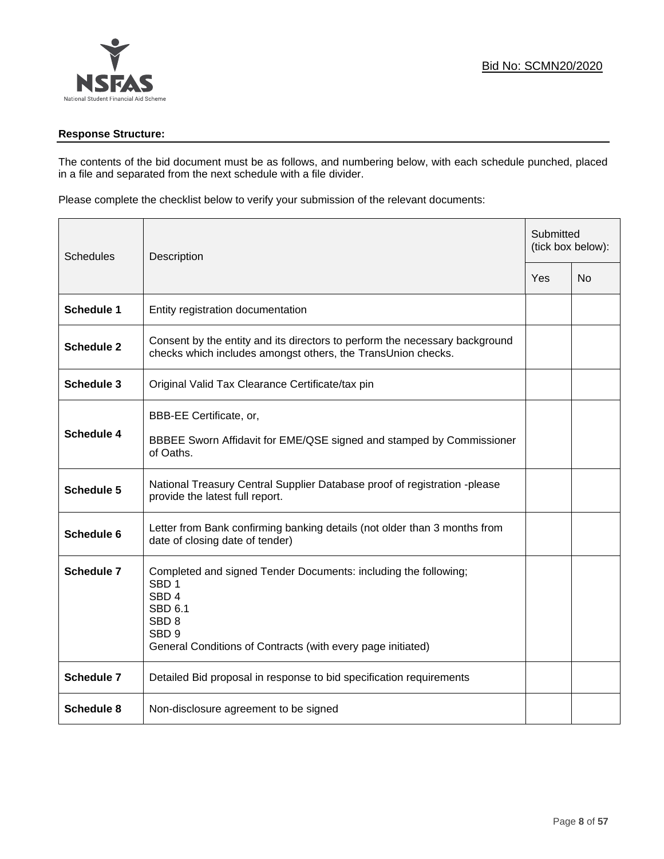### **Response Structure:**

The contents of the bid document must be as follows, and numbering below, with each schedule punched, placed in a file and separated from the next schedule with a file divider.

Please complete the checklist below to verify your submission of the relevant documents:

| <b>Schedules</b>  | Description                                                                                                                                                                                                                      |     | Submitted<br>(tick box below): |  |
|-------------------|----------------------------------------------------------------------------------------------------------------------------------------------------------------------------------------------------------------------------------|-----|--------------------------------|--|
|                   |                                                                                                                                                                                                                                  | Yes | No                             |  |
| <b>Schedule 1</b> | Entity registration documentation                                                                                                                                                                                                |     |                                |  |
| <b>Schedule 2</b> | Consent by the entity and its directors to perform the necessary background<br>checks which includes amongst others, the TransUnion checks.                                                                                      |     |                                |  |
| Schedule 3        | Original Valid Tax Clearance Certificate/tax pin                                                                                                                                                                                 |     |                                |  |
| <b>Schedule 4</b> | BBB-EE Certificate, or,<br>BBBEE Sworn Affidavit for EME/QSE signed and stamped by Commissioner<br>of Oaths.                                                                                                                     |     |                                |  |
| <b>Schedule 5</b> | National Treasury Central Supplier Database proof of registration -please<br>provide the latest full report.                                                                                                                     |     |                                |  |
| Schedule 6        | Letter from Bank confirming banking details (not older than 3 months from<br>date of closing date of tender)                                                                                                                     |     |                                |  |
| <b>Schedule 7</b> | Completed and signed Tender Documents: including the following;<br>SBD <sub>1</sub><br>SBD <sub>4</sub><br><b>SBD 6.1</b><br>SBD <sub>8</sub><br>SBD <sub>9</sub><br>General Conditions of Contracts (with every page initiated) |     |                                |  |
| <b>Schedule 7</b> | Detailed Bid proposal in response to bid specification requirements                                                                                                                                                              |     |                                |  |
| <b>Schedule 8</b> | Non-disclosure agreement to be signed                                                                                                                                                                                            |     |                                |  |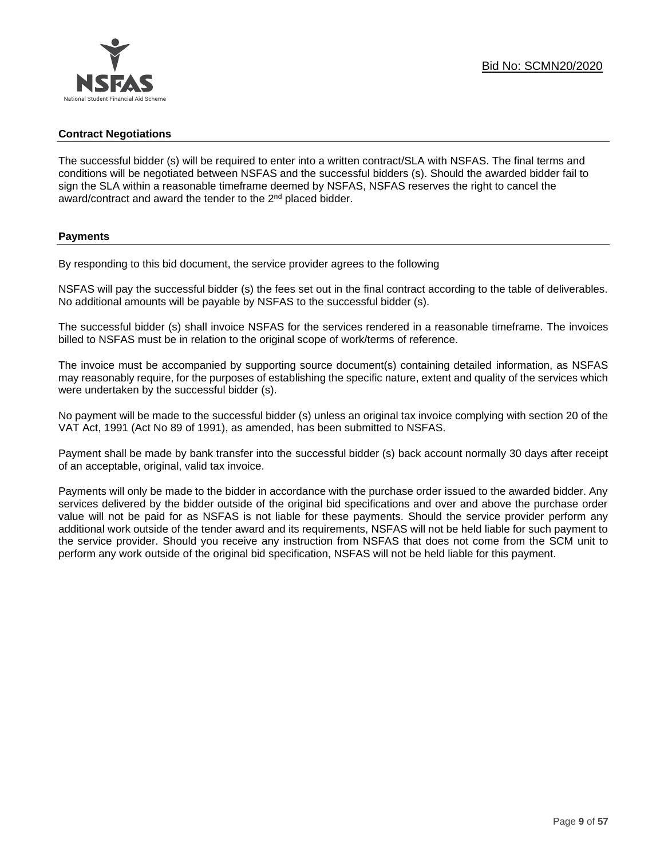### **Contract Negotiations**

The successful bidder (s) will be required to enter into a written contract/SLA with NSFAS. The final terms and conditions will be negotiated between NSFAS and the successful bidders (s). Should the awarded bidder fail to sign the SLA within a reasonable timeframe deemed by NSFAS, NSFAS reserves the right to cancel the award/contract and award the tender to the 2<sup>nd</sup> placed bidder.

#### **Payments**

By responding to this bid document, the service provider agrees to the following

NSFAS will pay the successful bidder (s) the fees set out in the final contract according to the table of deliverables. No additional amounts will be payable by NSFAS to the successful bidder (s).

The successful bidder (s) shall invoice NSFAS for the services rendered in a reasonable timeframe. The invoices billed to NSFAS must be in relation to the original scope of work/terms of reference.

The invoice must be accompanied by supporting source document(s) containing detailed information, as NSFAS may reasonably require, for the purposes of establishing the specific nature, extent and quality of the services which were undertaken by the successful bidder (s).

No payment will be made to the successful bidder (s) unless an original tax invoice complying with section 20 of the VAT Act, 1991 (Act No 89 of 1991), as amended, has been submitted to NSFAS.

Payment shall be made by bank transfer into the successful bidder (s) back account normally 30 days after receipt of an acceptable, original, valid tax invoice.

Payments will only be made to the bidder in accordance with the purchase order issued to the awarded bidder. Any services delivered by the bidder outside of the original bid specifications and over and above the purchase order value will not be paid for as NSFAS is not liable for these payments. Should the service provider perform any additional work outside of the tender award and its requirements, NSFAS will not be held liable for such payment to the service provider. Should you receive any instruction from NSFAS that does not come from the SCM unit to perform any work outside of the original bid specification, NSFAS will not be held liable for this payment.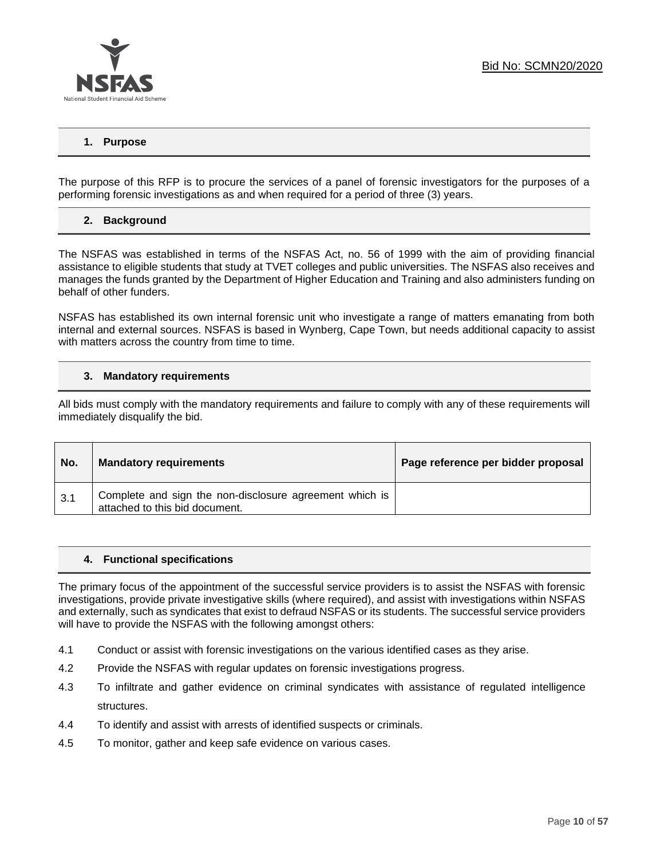

## **1. Purpose**

The purpose of this RFP is to procure the services of a panel of forensic investigators for the purposes of a performing forensic investigations as and when required for a period of three (3) years.

#### **2. Background**

The NSFAS was established in terms of the NSFAS Act, no. 56 of 1999 with the aim of providing financial assistance to eligible students that study at TVET colleges and public universities. The NSFAS also receives and manages the funds granted by the Department of Higher Education and Training and also administers funding on behalf of other funders.

NSFAS has established its own internal forensic unit who investigate a range of matters emanating from both internal and external sources. NSFAS is based in Wynberg, Cape Town, but needs additional capacity to assist with matters across the country from time to time.

#### **3. Mandatory requirements**

All bids must comply with the mandatory requirements and failure to comply with any of these requirements will immediately disqualify the bid.

| No. | <b>Mandatory requirements</b>                                                             | Page reference per bidder proposal |
|-----|-------------------------------------------------------------------------------------------|------------------------------------|
| 3.1 | Complete and sign the non-disclosure agreement which is<br>attached to this bid document. |                                    |

#### **4. Functional specifications**

The primary focus of the appointment of the successful service providers is to assist the NSFAS with forensic investigations, provide private investigative skills (where required), and assist with investigations within NSFAS and externally, such as syndicates that exist to defraud NSFAS or its students. The successful service providers will have to provide the NSFAS with the following amongst others:

- 4.1 Conduct or assist with forensic investigations on the various identified cases as they arise.
- 4.2 Provide the NSFAS with regular updates on forensic investigations progress.
- 4.3 To infiltrate and gather evidence on criminal syndicates with assistance of regulated intelligence structures.
- 4.4 To identify and assist with arrests of identified suspects or criminals.
- 4.5 To monitor, gather and keep safe evidence on various cases.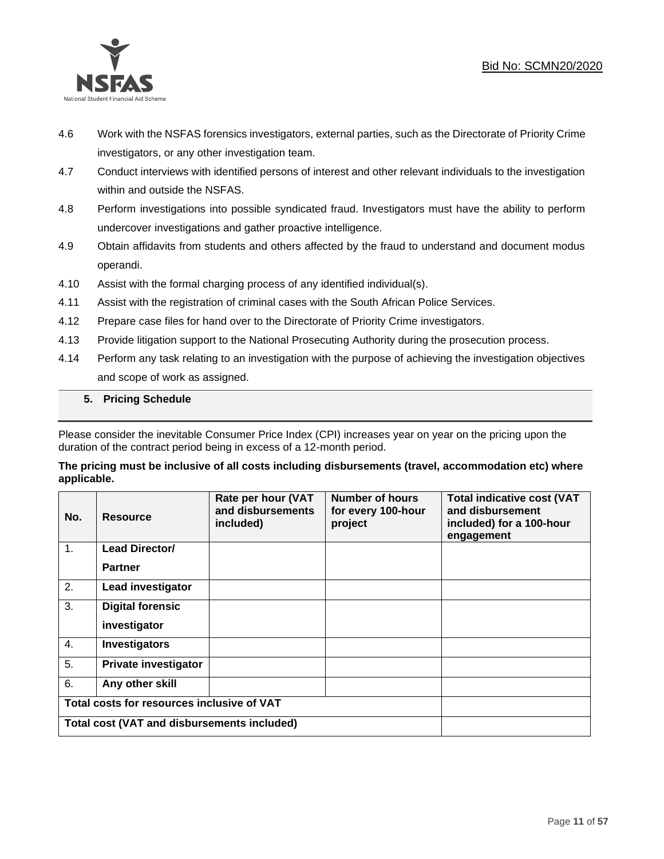## Bid No: SCMN20/2020



- 4.6 Work with the NSFAS forensics investigators, external parties, such as the Directorate of Priority Crime investigators, or any other investigation team.
- 4.7 Conduct interviews with identified persons of interest and other relevant individuals to the investigation within and outside the NSFAS.
- 4.8 Perform investigations into possible syndicated fraud. Investigators must have the ability to perform undercover investigations and gather proactive intelligence.
- 4.9 Obtain affidavits from students and others affected by the fraud to understand and document modus operandi.
- 4.10 Assist with the formal charging process of any identified individual(s).
- 4.11 Assist with the registration of criminal cases with the South African Police Services.
- 4.12 Prepare case files for hand over to the Directorate of Priority Crime investigators.
- 4.13 Provide litigation support to the National Prosecuting Authority during the prosecution process.
- 4.14 Perform any task relating to an investigation with the purpose of achieving the investigation objectives and scope of work as assigned.

#### **5. Pricing Schedule**

Please consider the inevitable Consumer Price Index (CPI) increases year on year on the pricing upon the duration of the contract period being in excess of a 12-month period.

#### **The pricing must be inclusive of all costs including disbursements (travel, accommodation etc) where applicable.**

| No. | <b>Resource</b>                             | Rate per hour (VAT<br>and disbursements<br>included) | <b>Number of hours</b><br>for every 100-hour<br>project | <b>Total indicative cost (VAT</b><br>and disbursement<br>included) for a 100-hour<br>engagement |
|-----|---------------------------------------------|------------------------------------------------------|---------------------------------------------------------|-------------------------------------------------------------------------------------------------|
| 1.  | <b>Lead Director/</b>                       |                                                      |                                                         |                                                                                                 |
|     | <b>Partner</b>                              |                                                      |                                                         |                                                                                                 |
| 2.  | Lead investigator                           |                                                      |                                                         |                                                                                                 |
| 3.  | <b>Digital forensic</b>                     |                                                      |                                                         |                                                                                                 |
|     | investigator                                |                                                      |                                                         |                                                                                                 |
| 4.  | <b>Investigators</b>                        |                                                      |                                                         |                                                                                                 |
| 5.  | <b>Private investigator</b>                 |                                                      |                                                         |                                                                                                 |
| 6.  | Any other skill                             |                                                      |                                                         |                                                                                                 |
|     | Total costs for resources inclusive of VAT  |                                                      |                                                         |                                                                                                 |
|     | Total cost (VAT and disbursements included) |                                                      |                                                         |                                                                                                 |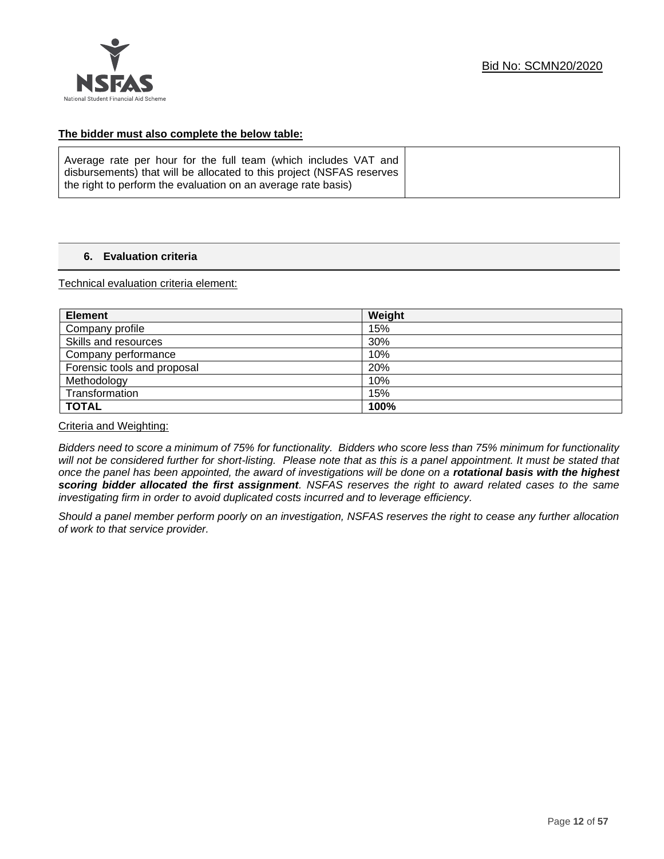

### **The bidder must also complete the below table:**

| Average rate per hour for the full team (which includes VAT and       |  |
|-----------------------------------------------------------------------|--|
| disbursements) that will be allocated to this project (NSFAS reserves |  |
| the right to perform the evaluation on an average rate basis)         |  |

## **6. Evaluation criteria**

Technical evaluation criteria element:

| <b>Element</b>              | Weight |
|-----------------------------|--------|
| Company profile             | 15%    |
| Skills and resources        | 30%    |
| Company performance         | 10%    |
| Forensic tools and proposal | 20%    |
| Methodology                 | 10%    |
| Transformation              | 15%    |
| <b>TOTAL</b>                | 100%   |

Criteria and Weighting:

*Bidders need to score a minimum of 75% for functionality. Bidders who score less than 75% minimum for functionality*  will not be considered further for short-listing. Please note that as this is a panel appointment. It must be stated that *once the panel has been appointed, the award of investigations will be done on a rotational basis with the highest scoring bidder allocated the first assignment. NSFAS reserves the right to award related cases to the same investigating firm in order to avoid duplicated costs incurred and to leverage efficiency.*

*Should a panel member perform poorly on an investigation, NSFAS reserves the right to cease any further allocation of work to that service provider.*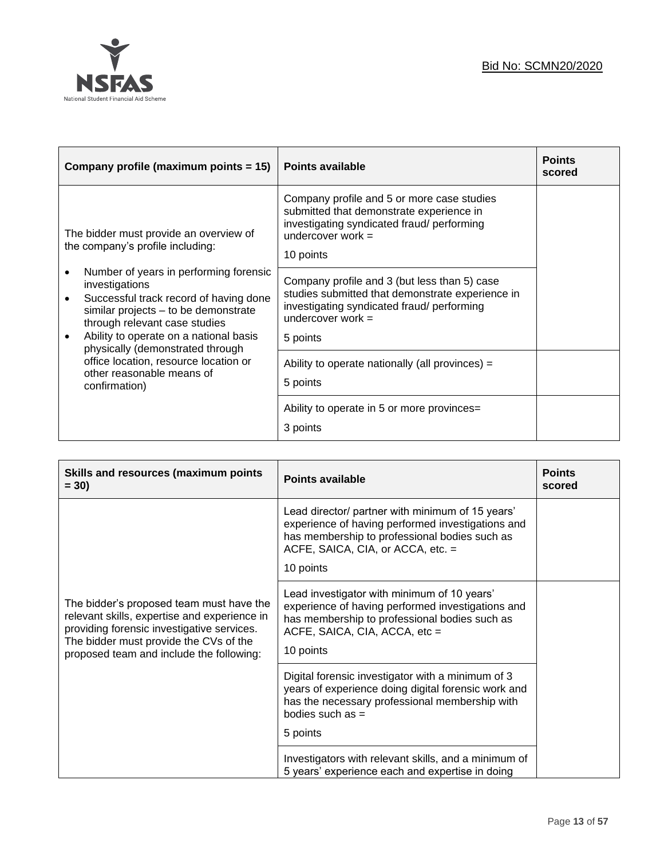

| Company profile (maximum points = 15)                                                                                                                                                                                                                     | <b>Points available</b>                                                                                                                                                           | <b>Points</b><br>scored |
|-----------------------------------------------------------------------------------------------------------------------------------------------------------------------------------------------------------------------------------------------------------|-----------------------------------------------------------------------------------------------------------------------------------------------------------------------------------|-------------------------|
| The bidder must provide an overview of<br>the company's profile including:                                                                                                                                                                                | Company profile and 5 or more case studies<br>submitted that demonstrate experience in<br>investigating syndicated fraud/ performing<br>undercover work $=$<br>10 points          |                         |
| Number of years in performing forensic<br>investigations<br>Successful track record of having done<br>similar projects - to be demonstrate<br>through relevant case studies<br>Ability to operate on a national basis<br>physically (demonstrated through | Company profile and 3 (but less than 5) case<br>studies submitted that demonstrate experience in<br>investigating syndicated fraud/ performing<br>undercover work $=$<br>5 points |                         |
| office location, resource location or<br>other reasonable means of<br>confirmation)                                                                                                                                                                       | Ability to operate nationally (all provinces) =<br>5 points                                                                                                                       |                         |
|                                                                                                                                                                                                                                                           | Ability to operate in 5 or more provinces=<br>3 points                                                                                                                            |                         |

| <b>Skills and resources (maximum points</b><br>$= 30$                                                                                                                                                                        | <b>Points available</b>                                                                                                                                                                                  | <b>Points</b><br>scored |
|------------------------------------------------------------------------------------------------------------------------------------------------------------------------------------------------------------------------------|----------------------------------------------------------------------------------------------------------------------------------------------------------------------------------------------------------|-------------------------|
|                                                                                                                                                                                                                              | Lead director/ partner with minimum of 15 years'<br>experience of having performed investigations and<br>has membership to professional bodies such as<br>ACFE, SAICA, CIA, or ACCA, etc. =<br>10 points |                         |
| The bidder's proposed team must have the<br>relevant skills, expertise and experience in<br>providing forensic investigative services.<br>The bidder must provide the CVs of the<br>proposed team and include the following: | Lead investigator with minimum of 10 years'<br>experience of having performed investigations and<br>has membership to professional bodies such as<br>ACFE, SAICA, CIA, ACCA, etc =<br>10 points          |                         |
|                                                                                                                                                                                                                              | Digital forensic investigator with a minimum of 3<br>years of experience doing digital forensic work and<br>has the necessary professional membership with<br>bodies such as =                           |                         |
|                                                                                                                                                                                                                              | 5 points                                                                                                                                                                                                 |                         |
|                                                                                                                                                                                                                              | Investigators with relevant skills, and a minimum of<br>5 years' experience each and expertise in doing                                                                                                  |                         |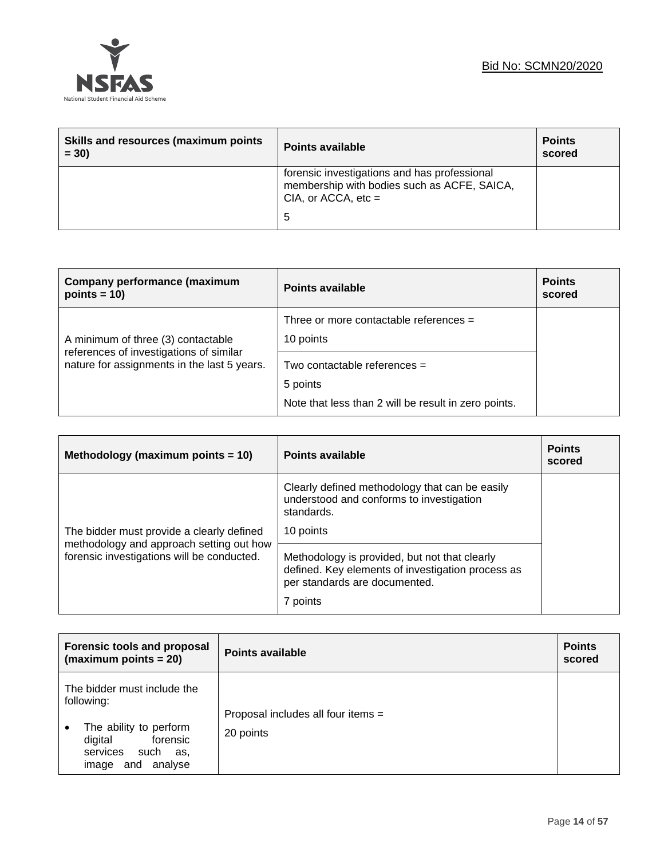

| Skills and resources (maximum points<br>$= 30$ | <b>Points available</b>                                                                                                   | <b>Points</b><br>scored |
|------------------------------------------------|---------------------------------------------------------------------------------------------------------------------------|-------------------------|
|                                                | forensic investigations and has professional<br>membership with bodies such as ACFE, SAICA,<br>CIA, or ACCA, $etc =$<br>5 |                         |

| Company performance (maximum<br>points = $10$ )                                        | <b>Points available</b>                               | <b>Points</b><br>scored |
|----------------------------------------------------------------------------------------|-------------------------------------------------------|-------------------------|
| A minimum of three (3) contactable                                                     | Three or more contactable references $=$<br>10 points |                         |
| references of investigations of similar<br>nature for assignments in the last 5 years. | Two contactable references =<br>5 points              |                         |
|                                                                                        | Note that less than 2 will be result in zero points.  |                         |

| Methodology (maximum points $= 10$ )                                                                                                | Points available                                                                                                                                | <b>Points</b><br>scored |
|-------------------------------------------------------------------------------------------------------------------------------------|-------------------------------------------------------------------------------------------------------------------------------------------------|-------------------------|
| The bidder must provide a clearly defined<br>methodology and approach setting out how<br>forensic investigations will be conducted. | Clearly defined methodology that can be easily<br>understood and conforms to investigation<br>standards.<br>10 points                           |                         |
|                                                                                                                                     | Methodology is provided, but not that clearly<br>defined. Key elements of investigation process as<br>per standards are documented.<br>7 points |                         |

| <b>Forensic tools and proposal</b><br>(maximum points $= 20$ )                                                                                | Points available                                | <b>Points</b><br>scored |
|-----------------------------------------------------------------------------------------------------------------------------------------------|-------------------------------------------------|-------------------------|
| The bidder must include the<br>following:<br>The ability to perform<br>forensic<br>digital<br>services<br>such<br>as,<br>and analyse<br>image | Proposal includes all four items =<br>20 points |                         |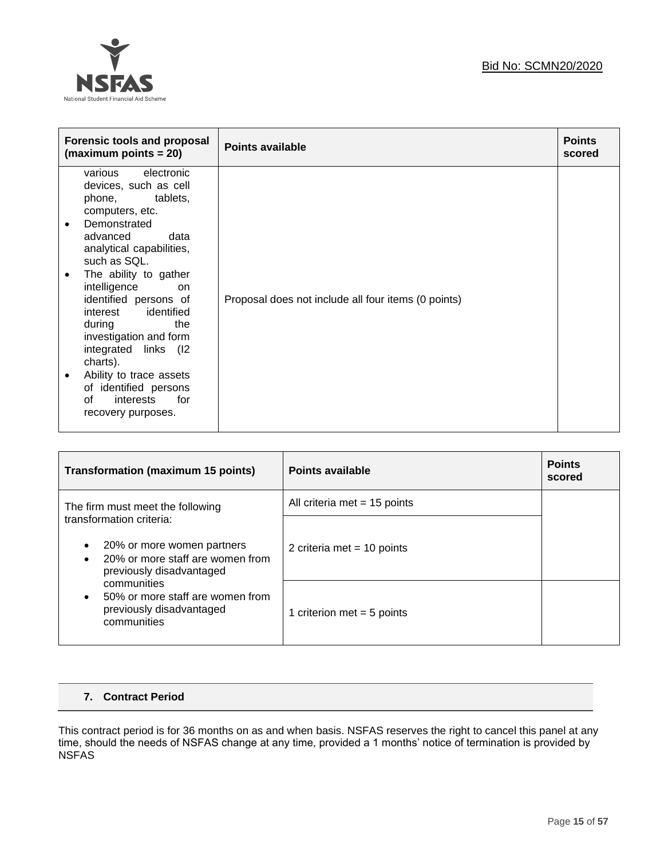

| <b>Forensic tools and proposal</b><br>$(maximum points = 20)$                                                                                                                                                                                                                                                                                                                                                                                                       | <b>Points available</b>                             | <b>Points</b><br>scored |
|---------------------------------------------------------------------------------------------------------------------------------------------------------------------------------------------------------------------------------------------------------------------------------------------------------------------------------------------------------------------------------------------------------------------------------------------------------------------|-----------------------------------------------------|-------------------------|
| various electronic<br>devices, such as cell<br>phone, tablets,<br>computers, etc.<br>Demonstrated<br>$\bullet$<br>advanced<br>data<br>analytical capabilities,<br>such as SQL.<br>The ability to gather<br>٠<br>intelligence<br>on.<br>identified persons of<br>interest identified<br>during<br>the<br>investigation and form<br>integrated links (I2<br>charts).<br>Ability to trace assets<br>of identified persons<br>interests for<br>of<br>recovery purposes. | Proposal does not include all four items (0 points) |                         |

| <b>Transformation (maximum 15 points)</b>                                                  | Points available               | <b>Points</b><br>scored |
|--------------------------------------------------------------------------------------------|--------------------------------|-------------------------|
| The firm must meet the following<br>transformation criteria:                               | All criteria met $= 15$ points |                         |
| 20% or more women partners<br>20% or more staff are women from<br>previously disadvantaged | 2 criteria met = 10 points     |                         |
| communities<br>50% or more staff are women from<br>previously disadvantaged<br>communities | 1 criterion met = $5$ points   |                         |

## **7. Contract Period**

This contract period is for 36 months on as and when basis. NSFAS reserves the right to cancel this panel at any time, should the needs of NSFAS change at any time, provided a 1 months' notice of termination is provided by NSFAS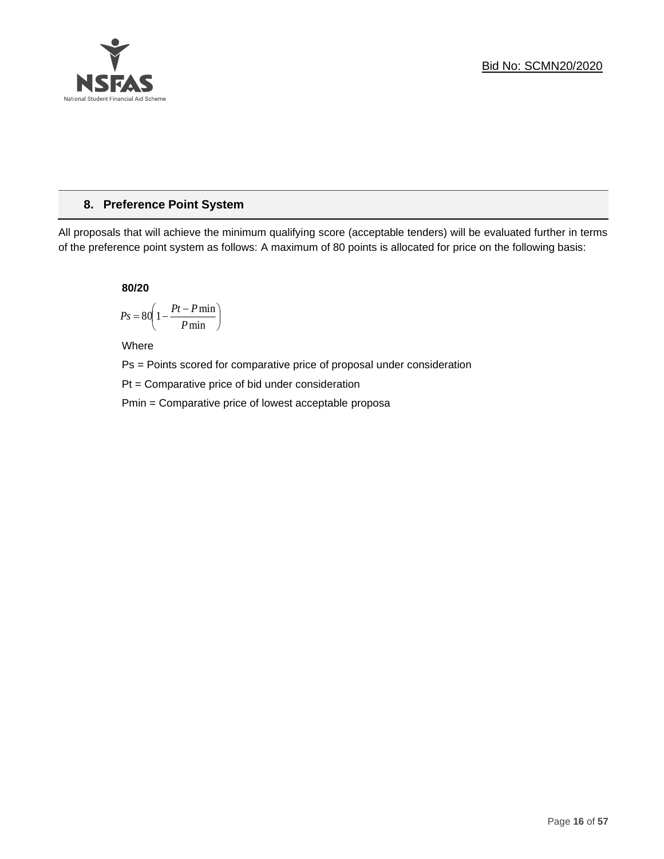

## **8. Preference Point System**

All proposals that will achieve the minimum qualifying score (acceptable tenders) will be evaluated further in terms of the preference point system as follows: A maximum of 80 points is allocated for price on the following basis:

**80/20**

$$
Ps = 80 \left( 1 - \frac{Pt - P \min}{P \min} \right)
$$

Where

Ps = Points scored for comparative price of proposal under consideration

Pt = Comparative price of bid under consideration

Pmin = Comparative price of lowest acceptable proposa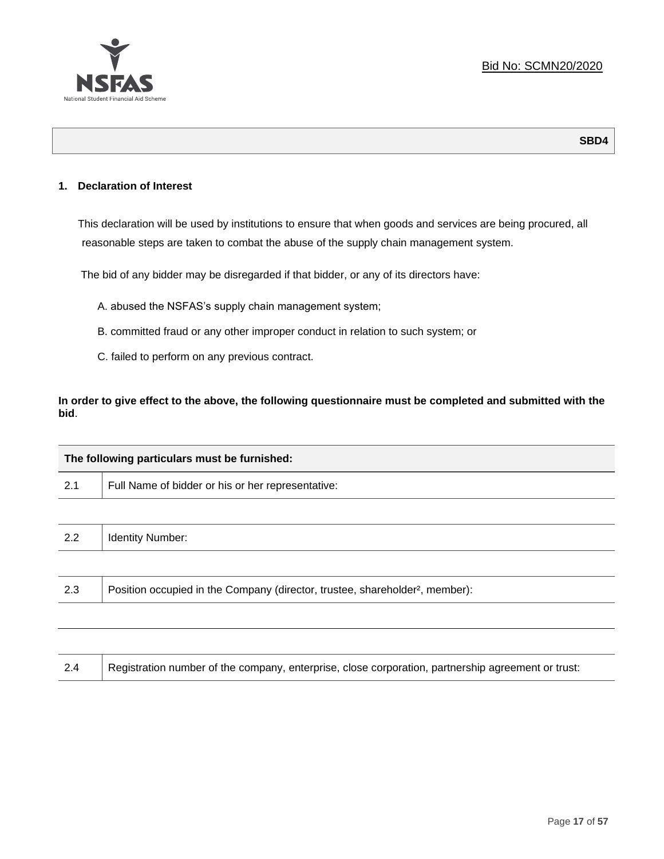

## **1. Declaration of Interest**

This declaration will be used by institutions to ensure that when goods and services are being procured, all reasonable steps are taken to combat the abuse of the supply chain management system.

The bid of any bidder may be disregarded if that bidder, or any of its directors have:

- A. abused the NSFAS's supply chain management system;
- B. committed fraud or any other improper conduct in relation to such system; or
- C. failed to perform on any previous contract.

**In order to give effect to the above, the following questionnaire must be completed and submitted with the bid**.

| The following particulars must be furnished: |                                                                                          |  |
|----------------------------------------------|------------------------------------------------------------------------------------------|--|
| 2.1                                          | Full Name of bidder or his or her representative:                                        |  |
|                                              |                                                                                          |  |
| 2.2                                          | <b>Identity Number:</b>                                                                  |  |
|                                              |                                                                                          |  |
| 2.3                                          | Position occupied in the Company (director, trustee, shareholder <sup>2</sup> , member): |  |
|                                              |                                                                                          |  |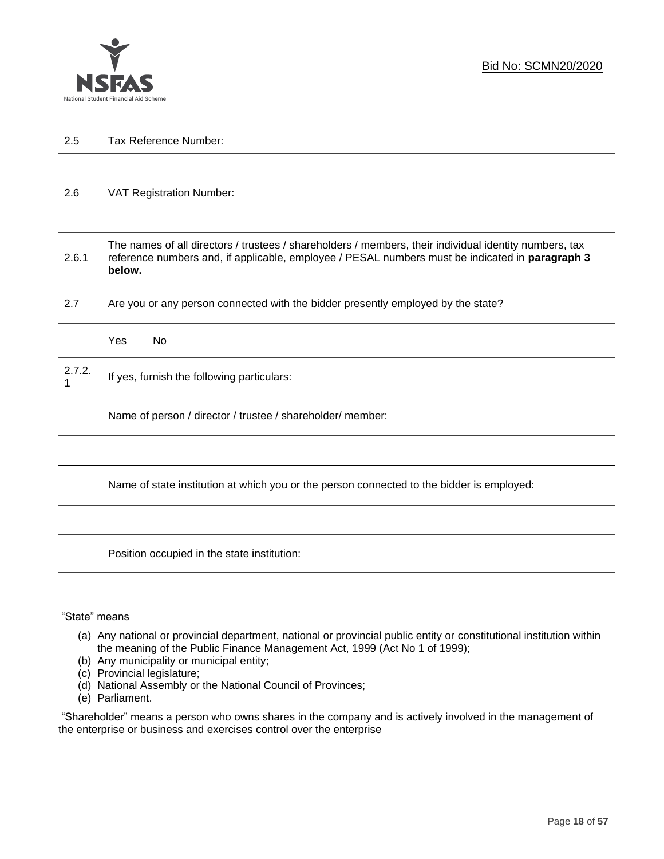

| っょ<br>ن ک | $\overline{\phantom{0}}$<br>-<br>Tax Reference<br>Number: |
|-----------|-----------------------------------------------------------|
|           |                                                           |

| 2.6 | VAT Registration Number: |
|-----|--------------------------|
|-----|--------------------------|

| 2.6.1  | The names of all directors / trustees / shareholders / members, their individual identity numbers, tax<br>reference numbers and, if applicable, employee / PESAL numbers must be indicated in paragraph 3<br>below. |     |  |
|--------|---------------------------------------------------------------------------------------------------------------------------------------------------------------------------------------------------------------------|-----|--|
| 2.7    | Are you or any person connected with the bidder presently employed by the state?                                                                                                                                    |     |  |
|        | Yes                                                                                                                                                                                                                 | No. |  |
| 2.7.2. | If yes, furnish the following particulars:                                                                                                                                                                          |     |  |
|        | Name of person / director / trustee / shareholder/ member:                                                                                                                                                          |     |  |

| Name of state institution at which you or the person connected to the bidder is employed: |
|-------------------------------------------------------------------------------------------|
|                                                                                           |

Position occupied in the state institution:

#### "State" means

┱

- (a) Any national or provincial department, national or provincial public entity or constitutional institution within the meaning of the Public Finance Management Act, 1999 (Act No 1 of 1999);
- (b) Any municipality or municipal entity;
- (c) Provincial legislature;
- (d) National Assembly or the National Council of Provinces;
- (e) Parliament.

"Shareholder" means a person who owns shares in the company and is actively involved in the management of the enterprise or business and exercises control over the enterprise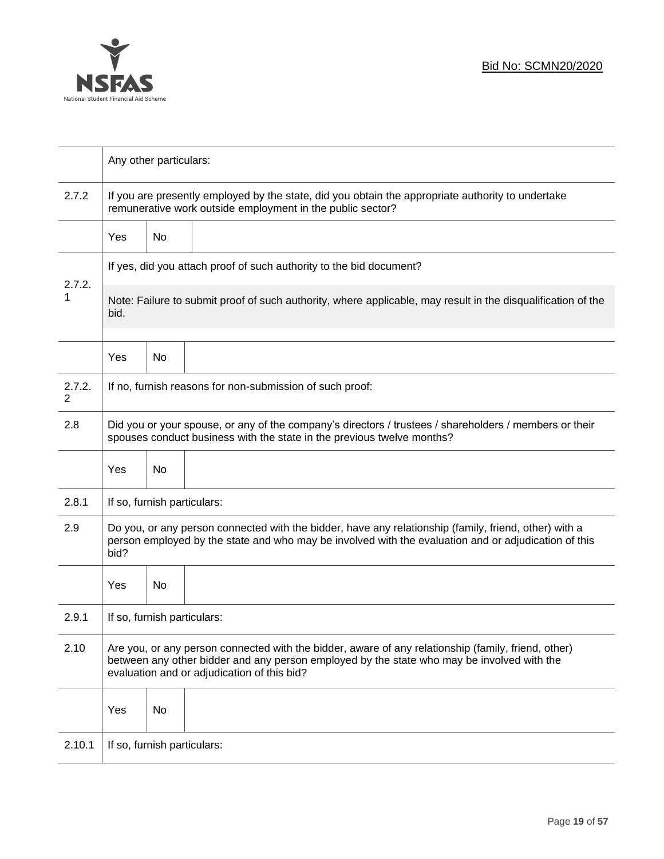

|             | Any other particulars:                                                                                                                                                                                                                           |    |                                                                     |  |  |  |  |
|-------------|--------------------------------------------------------------------------------------------------------------------------------------------------------------------------------------------------------------------------------------------------|----|---------------------------------------------------------------------|--|--|--|--|
| 2.7.2       | If you are presently employed by the state, did you obtain the appropriate authority to undertake<br>remunerative work outside employment in the public sector?                                                                                  |    |                                                                     |  |  |  |  |
|             | Yes                                                                                                                                                                                                                                              | No |                                                                     |  |  |  |  |
|             |                                                                                                                                                                                                                                                  |    | If yes, did you attach proof of such authority to the bid document? |  |  |  |  |
| 2.7.2.<br>1 | Note: Failure to submit proof of such authority, where applicable, may result in the disqualification of the<br>bid.                                                                                                                             |    |                                                                     |  |  |  |  |
|             | Yes                                                                                                                                                                                                                                              | No |                                                                     |  |  |  |  |
| 2.7.2.<br>2 | If no, furnish reasons for non-submission of such proof:                                                                                                                                                                                         |    |                                                                     |  |  |  |  |
| 2.8         | Did you or your spouse, or any of the company's directors / trustees / shareholders / members or their<br>spouses conduct business with the state in the previous twelve months?                                                                 |    |                                                                     |  |  |  |  |
|             | Yes                                                                                                                                                                                                                                              | No |                                                                     |  |  |  |  |
| 2.8.1       | If so, furnish particulars:                                                                                                                                                                                                                      |    |                                                                     |  |  |  |  |
| 2.9         | Do you, or any person connected with the bidder, have any relationship (family, friend, other) with a<br>person employed by the state and who may be involved with the evaluation and or adjudication of this<br>bid?                            |    |                                                                     |  |  |  |  |
|             | Yes                                                                                                                                                                                                                                              | No |                                                                     |  |  |  |  |
| 2.9.1       | If so, furnish particulars:                                                                                                                                                                                                                      |    |                                                                     |  |  |  |  |
| 2.10        | Are you, or any person connected with the bidder, aware of any relationship (family, friend, other)<br>between any other bidder and any person employed by the state who may be involved with the<br>evaluation and or adjudication of this bid? |    |                                                                     |  |  |  |  |
|             | Yes                                                                                                                                                                                                                                              | No |                                                                     |  |  |  |  |
| 2.10.1      | If so, furnish particulars:                                                                                                                                                                                                                      |    |                                                                     |  |  |  |  |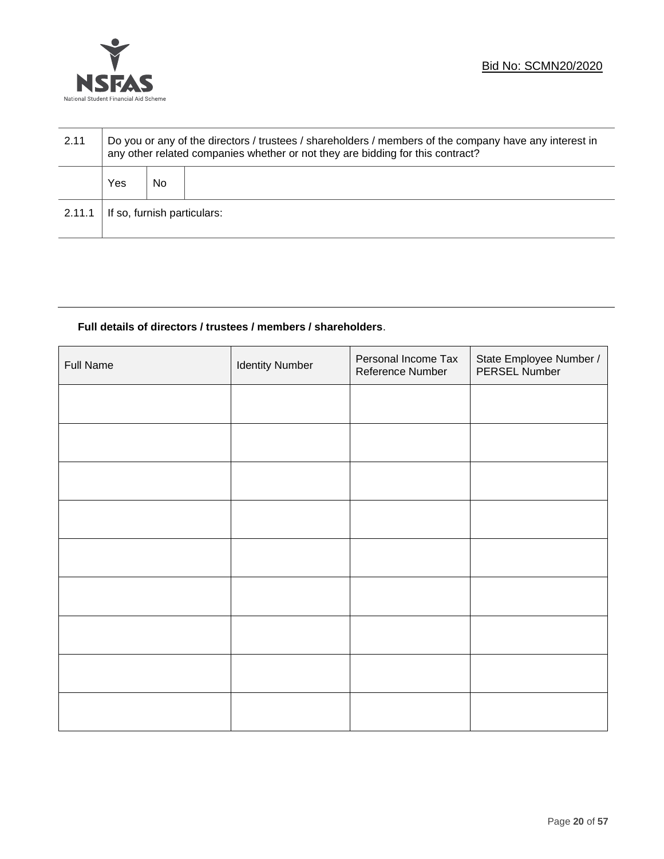

| 2.11   | Do you or any of the directors / trustees / shareholders / members of the company have any interest in<br>any other related companies whether or not they are bidding for this contract? |    |  |  |  |
|--------|------------------------------------------------------------------------------------------------------------------------------------------------------------------------------------------|----|--|--|--|
|        | Yes                                                                                                                                                                                      | No |  |  |  |
| 2.11.1 | If so, furnish particulars:                                                                                                                                                              |    |  |  |  |

## **Full details of directors / trustees / members / shareholders**.

| Full Name | <b>Identity Number</b> | Personal Income Tax<br>Reference Number | State Employee Number /<br>PERSEL Number |
|-----------|------------------------|-----------------------------------------|------------------------------------------|
|           |                        |                                         |                                          |
|           |                        |                                         |                                          |
|           |                        |                                         |                                          |
|           |                        |                                         |                                          |
|           |                        |                                         |                                          |
|           |                        |                                         |                                          |
|           |                        |                                         |                                          |
|           |                        |                                         |                                          |
|           |                        |                                         |                                          |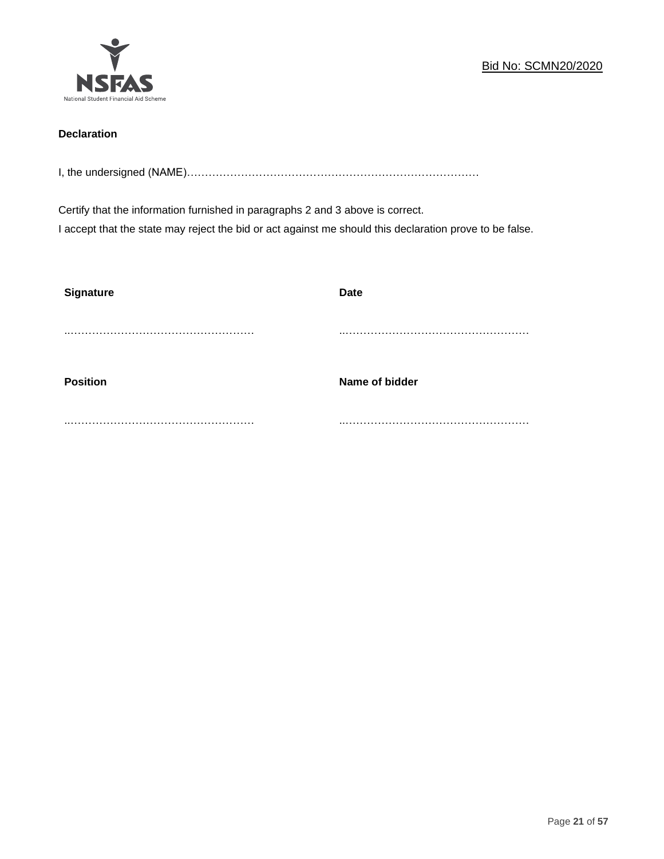

## **Declaration**

I, the undersigned (NAME)………………………………………………………………………

Certify that the information furnished in paragraphs 2 and 3 above is correct. I accept that the state may reject the bid or act against me should this declaration prove to be false.

| <b>Signature</b> | <b>Date</b>    |
|------------------|----------------|
|                  |                |
| <b>Position</b>  | Name of bidder |
|                  |                |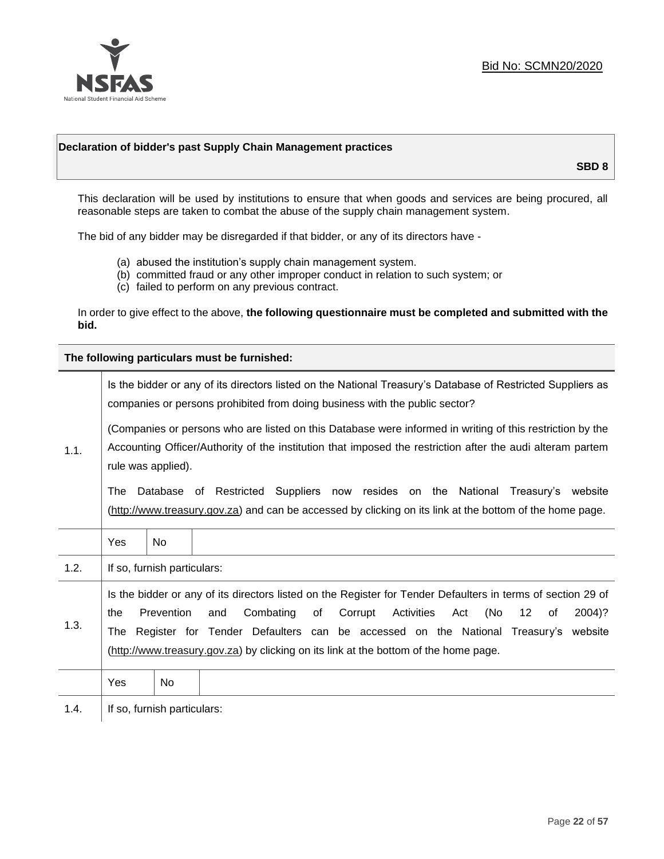

### **Declaration of bidder's past Supply Chain Management practices**

**SBD 8**

This declaration will be used by institutions to ensure that when goods and services are being procured, all reasonable steps are taken to combat the abuse of the supply chain management system.

The bid of any bidder may be disregarded if that bidder, or any of its directors have -

- (a) abused the institution's supply chain management system.
- (b) committed fraud or any other improper conduct in relation to such system; or
- (c) failed to perform on any previous contract.

In order to give effect to the above, **the following questionnaire must be completed and submitted with the bid.**

**The following particulars must be furnished:**

|      |                                                                                                                                                                                                                                                                                                                                                                                                              |     | Is the bidder or any of its directors listed on the National Treasury's Database of Restricted Suppliers as<br>companies or persons prohibited from doing business with the public sector?  |  |  |  |  |  |  |
|------|--------------------------------------------------------------------------------------------------------------------------------------------------------------------------------------------------------------------------------------------------------------------------------------------------------------------------------------------------------------------------------------------------------------|-----|---------------------------------------------------------------------------------------------------------------------------------------------------------------------------------------------|--|--|--|--|--|--|
| 1.1. | (Companies or persons who are listed on this Database were informed in writing of this restriction by the<br>Accounting Officer/Authority of the institution that imposed the restriction after the audi alteram partem<br>rule was applied).                                                                                                                                                                |     |                                                                                                                                                                                             |  |  |  |  |  |  |
|      | The                                                                                                                                                                                                                                                                                                                                                                                                          |     | Database of Restricted Suppliers now resides on the National Treasury's website<br>(http://www.treasury.gov.za) and can be accessed by clicking on its link at the bottom of the home page. |  |  |  |  |  |  |
|      | Yes                                                                                                                                                                                                                                                                                                                                                                                                          | No. |                                                                                                                                                                                             |  |  |  |  |  |  |
| 1.2. | If so, furnish particulars:                                                                                                                                                                                                                                                                                                                                                                                  |     |                                                                                                                                                                                             |  |  |  |  |  |  |
| 1.3. | Is the bidder or any of its directors listed on the Register for Tender Defaulters in terms of section 29 of<br>Prevention<br>Combating<br>of<br>Corrupt<br>Activities<br>(No<br>2004)?<br>the<br>and<br>Act<br>12<br>0f<br>Register for Tender Defaulters can be accessed on the National Treasury's website<br>The<br>(http://www.treasury.gov.za) by clicking on its link at the bottom of the home page. |     |                                                                                                                                                                                             |  |  |  |  |  |  |
|      | Yes                                                                                                                                                                                                                                                                                                                                                                                                          | No. |                                                                                                                                                                                             |  |  |  |  |  |  |
| 1.4. | If so, furnish particulars:                                                                                                                                                                                                                                                                                                                                                                                  |     |                                                                                                                                                                                             |  |  |  |  |  |  |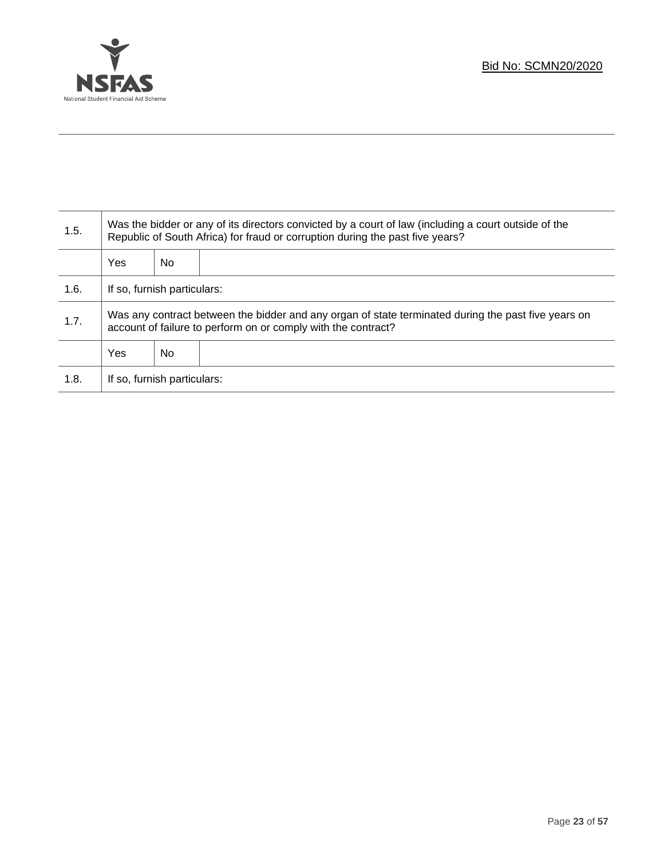

Τ

| 1.5. | Was the bidder or any of its directors convicted by a court of law (including a court outside of the<br>Republic of South Africa) for fraud or corruption during the past five years? |    |  |  |  |
|------|---------------------------------------------------------------------------------------------------------------------------------------------------------------------------------------|----|--|--|--|
|      | Yes                                                                                                                                                                                   | No |  |  |  |
| 1.6. | If so, furnish particulars:                                                                                                                                                           |    |  |  |  |
| 1.7. | Was any contract between the bidder and any organ of state terminated during the past five years on<br>account of failure to perform on or comply with the contract?                  |    |  |  |  |
|      | <b>Yes</b>                                                                                                                                                                            | No |  |  |  |
| 1.8. | If so, furnish particulars:                                                                                                                                                           |    |  |  |  |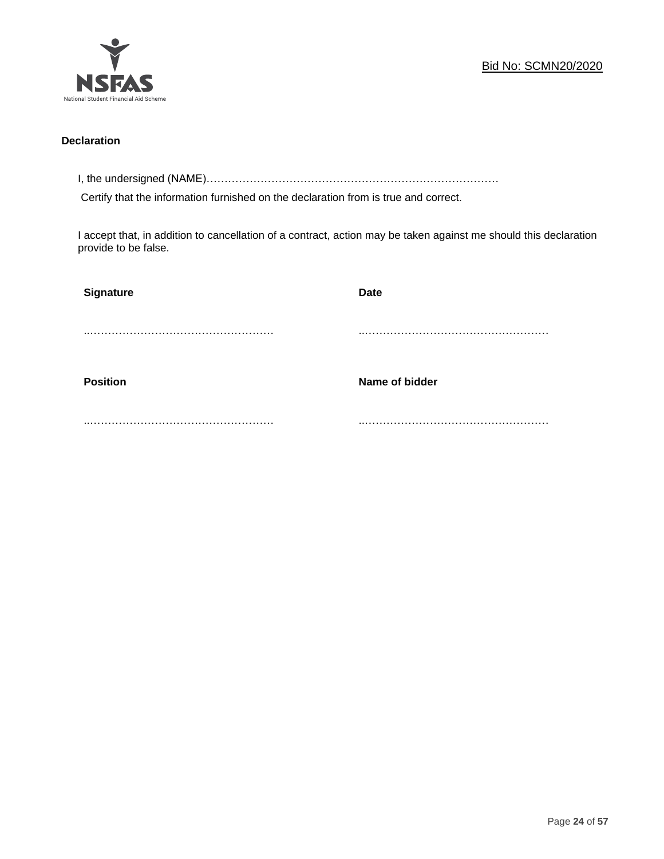

## **Declaration**

I, the undersigned (NAME)………………………………………………………………………

Certify that the information furnished on the declaration from is true and correct.

I accept that, in addition to cancellation of a contract, action may be taken against me should this declaration provide to be false.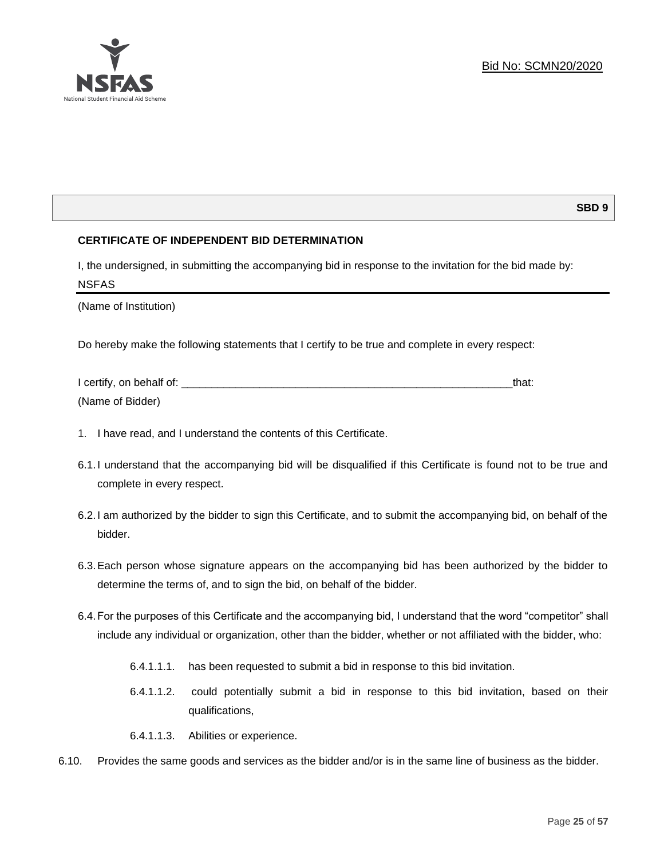### **SBD 9**

### **CERTIFICATE OF INDEPENDENT BID DETERMINATION**

I, the undersigned, in submitting the accompanying bid in response to the invitation for the bid made by: NSFAS

(Name of Institution)

Do hereby make the following statements that I certify to be true and complete in every respect:

| I certify, on behalf of: |  |
|--------------------------|--|
| (Name of Bidder)         |  |

- 1. I have read, and I understand the contents of this Certificate.
- 6.1.I understand that the accompanying bid will be disqualified if this Certificate is found not to be true and complete in every respect.
- 6.2.I am authorized by the bidder to sign this Certificate, and to submit the accompanying bid, on behalf of the bidder.
- 6.3.Each person whose signature appears on the accompanying bid has been authorized by the bidder to determine the terms of, and to sign the bid, on behalf of the bidder.
- 6.4.For the purposes of this Certificate and the accompanying bid, I understand that the word "competitor" shall include any individual or organization, other than the bidder, whether or not affiliated with the bidder, who:
	- 6.4.1.1.1. has been requested to submit a bid in response to this bid invitation.
	- 6.4.1.1.2. could potentially submit a bid in response to this bid invitation, based on their qualifications,
	- 6.4.1.1.3. Abilities or experience.
- 6.10. Provides the same goods and services as the bidder and/or is in the same line of business as the bidder.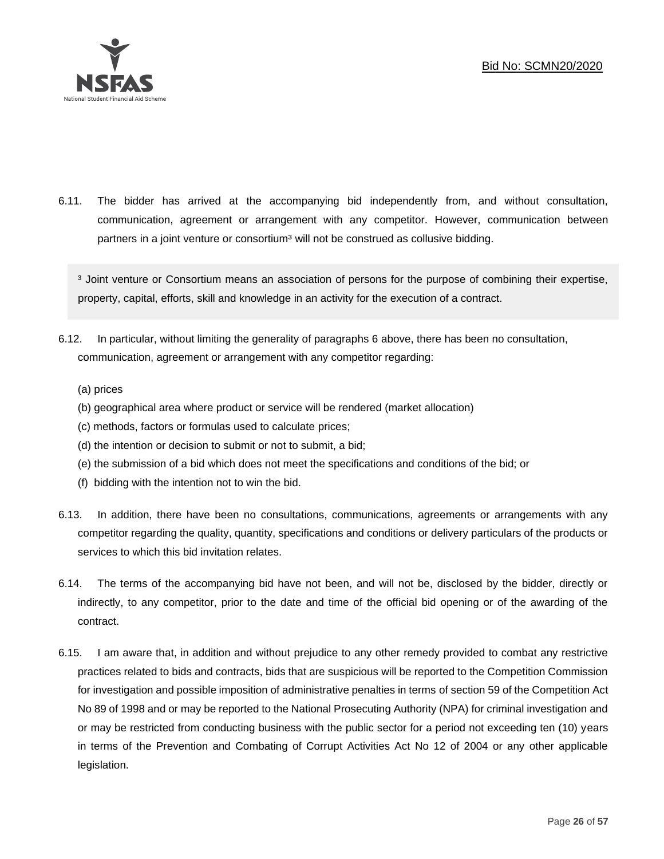

6.11. The bidder has arrived at the accompanying bid independently from, and without consultation, communication, agreement or arrangement with any competitor. However, communication between partners in a joint venture or consortium<sup>3</sup> will not be construed as collusive bidding.

<sup>3</sup> Joint venture or Consortium means an association of persons for the purpose of combining their expertise, property, capital, efforts, skill and knowledge in an activity for the execution of a contract.

- 6.12. In particular, without limiting the generality of paragraphs 6 above, there has been no consultation, communication, agreement or arrangement with any competitor regarding:
	- (a) prices
	- (b) geographical area where product or service will be rendered (market allocation)
	- (c) methods, factors or formulas used to calculate prices;
	- (d) the intention or decision to submit or not to submit, a bid;
	- (e) the submission of a bid which does not meet the specifications and conditions of the bid; or
	- (f) bidding with the intention not to win the bid.
- 6.13. In addition, there have been no consultations, communications, agreements or arrangements with any competitor regarding the quality, quantity, specifications and conditions or delivery particulars of the products or services to which this bid invitation relates.
- 6.14. The terms of the accompanying bid have not been, and will not be, disclosed by the bidder, directly or indirectly, to any competitor, prior to the date and time of the official bid opening or of the awarding of the contract.
- 6.15. I am aware that, in addition and without prejudice to any other remedy provided to combat any restrictive practices related to bids and contracts, bids that are suspicious will be reported to the Competition Commission for investigation and possible imposition of administrative penalties in terms of section 59 of the Competition Act No 89 of 1998 and or may be reported to the National Prosecuting Authority (NPA) for criminal investigation and or may be restricted from conducting business with the public sector for a period not exceeding ten (10) years in terms of the Prevention and Combating of Corrupt Activities Act No 12 of 2004 or any other applicable legislation.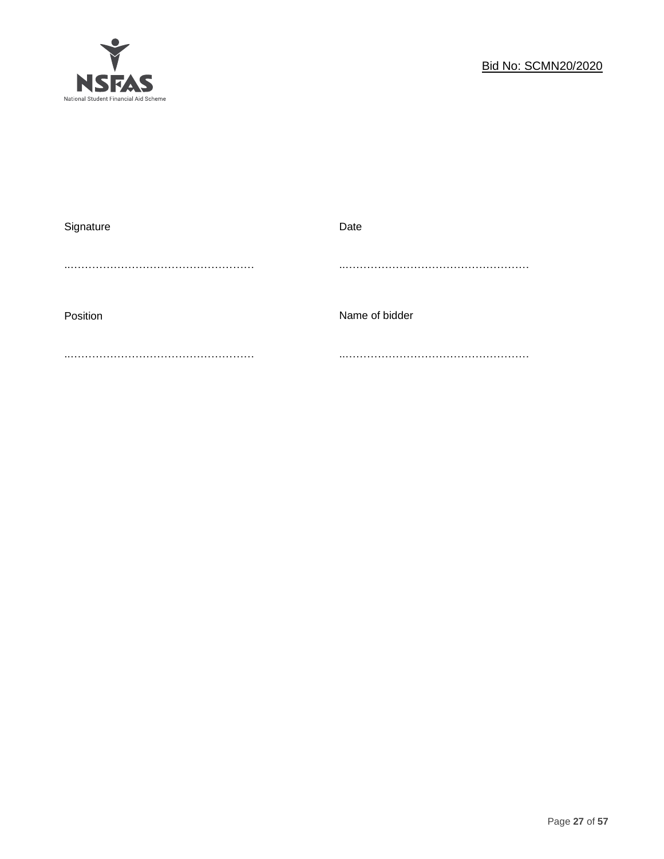

| Signature | Date           |
|-----------|----------------|
|           |                |
|           |                |
|           |                |
| Position  | Name of bidder |
|           |                |
|           |                |
|           |                |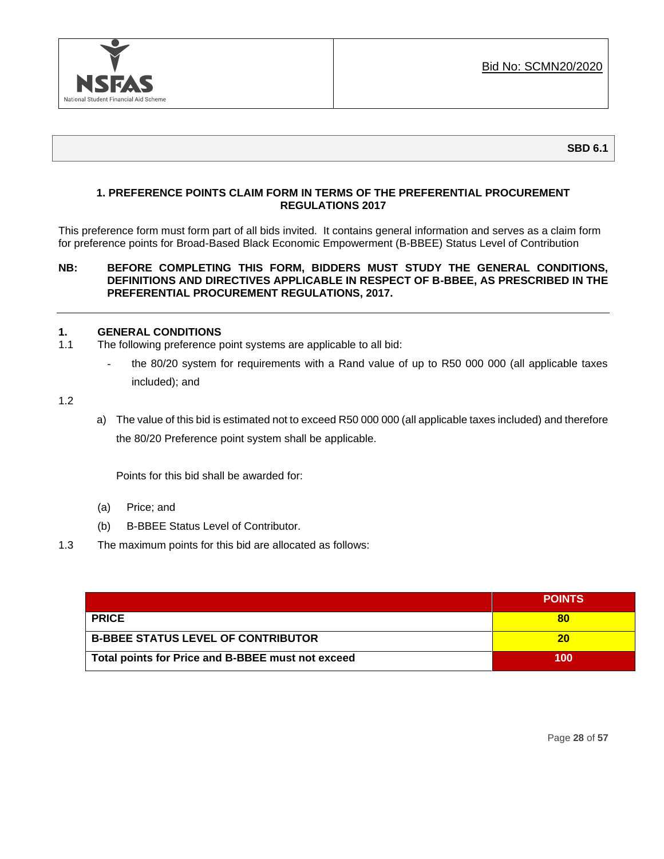

## **1. PREFERENCE POINTS CLAIM FORM IN TERMS OF THE PREFERENTIAL PROCUREMENT REGULATIONS 2017**

This preference form must form part of all bids invited. It contains general information and serves as a claim form for preference points for Broad-Based Black Economic Empowerment (B-BBEE) Status Level of Contribution

## **NB: BEFORE COMPLETING THIS FORM, BIDDERS MUST STUDY THE GENERAL CONDITIONS, DEFINITIONS AND DIRECTIVES APPLICABLE IN RESPECT OF B-BBEE, AS PRESCRIBED IN THE PREFERENTIAL PROCUREMENT REGULATIONS, 2017.**

## **1. GENERAL CONDITIONS**

- 1.1 The following preference point systems are applicable to all bid:
	- the 80/20 system for requirements with a Rand value of up to R50 000 000 (all applicable taxes included); and

1.2

a) The value of this bid is estimated not to exceed R50 000 000 (all applicable taxes included) and therefore the 80/20 Preference point system shall be applicable.

Points for this bid shall be awarded for:

- (a) Price; and
- (b) B-BBEE Status Level of Contributor.
- 1.3 The maximum points for this bid are allocated as follows:

|                                                   | <b>POINTS</b> |
|---------------------------------------------------|---------------|
| <b>PRICE</b>                                      | 80            |
| <b>B-BBEE STATUS LEVEL OF CONTRIBUTOR</b>         | 20            |
| Total points for Price and B-BBEE must not exceed | 100           |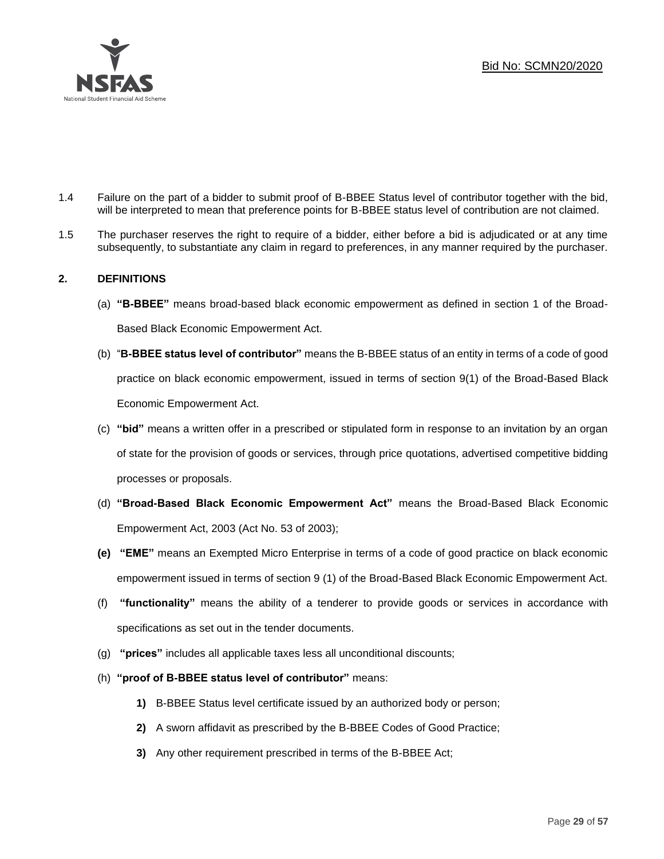

- 1.4 Failure on the part of a bidder to submit proof of B-BBEE Status level of contributor together with the bid, will be interpreted to mean that preference points for B-BBEE status level of contribution are not claimed.
- 1.5 The purchaser reserves the right to require of a bidder, either before a bid is adjudicated or at any time subsequently, to substantiate any claim in regard to preferences, in any manner required by the purchaser.

## **2. DEFINITIONS**

- (a) **"B-BBEE"** means broad-based black economic empowerment as defined in section 1 of the Broad-Based Black Economic Empowerment Act.
- (b) "**B-BBEE status level of contributor"** means the B-BBEE status of an entity in terms of a code of good practice on black economic empowerment, issued in terms of section 9(1) of the Broad-Based Black Economic Empowerment Act.
- (c) **"bid"** means a written offer in a prescribed or stipulated form in response to an invitation by an organ of state for the provision of goods or services, through price quotations, advertised competitive bidding processes or proposals.
- (d) **"Broad-Based Black Economic Empowerment Act"** means the Broad-Based Black Economic Empowerment Act, 2003 (Act No. 53 of 2003);
- **(e) "EME"** means an Exempted Micro Enterprise in terms of a code of good practice on black economic empowerment issued in terms of section 9 (1) of the Broad-Based Black Economic Empowerment Act.
- (f) **"functionality"** means the ability of a tenderer to provide goods or services in accordance with specifications as set out in the tender documents.
- (g) **"prices"** includes all applicable taxes less all unconditional discounts;
- (h) **"proof of B-BBEE status level of contributor"** means:
	- **1)** B-BBEE Status level certificate issued by an authorized body or person;
	- **2)** A sworn affidavit as prescribed by the B-BBEE Codes of Good Practice;
	- **3)** Any other requirement prescribed in terms of the B-BBEE Act;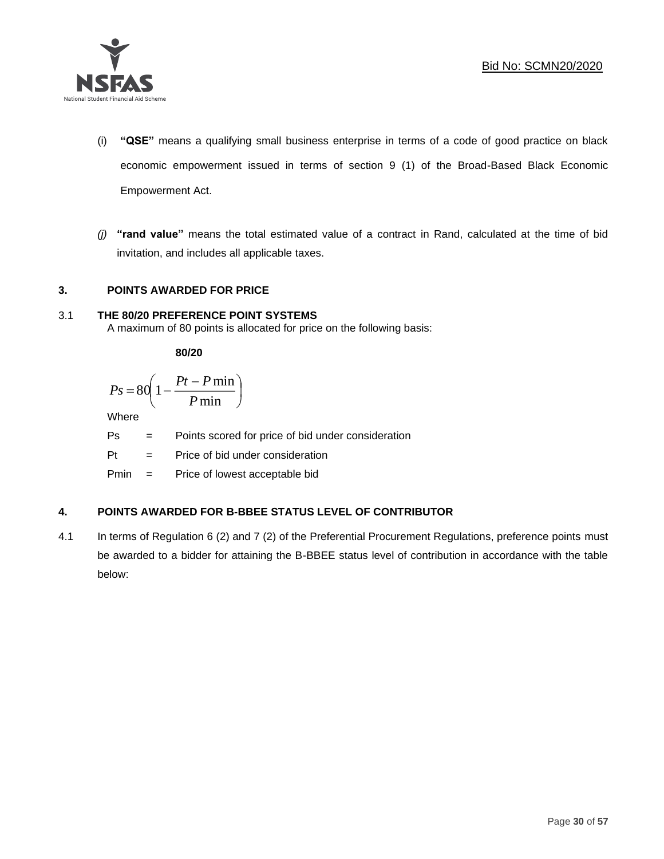

- (i) **"QSE"** means a qualifying small business enterprise in terms of a code of good practice on black economic empowerment issued in terms of section 9 (1) of the Broad-Based Black Economic Empowerment Act.
- *(j)* **"rand value"** means the total estimated value of a contract in Rand, calculated at the time of bid invitation, and includes all applicable taxes.

## **3. POINTS AWARDED FOR PRICE**

## 3.1 **THE 80/20 PREFERENCE POINT SYSTEMS**

A maximum of 80 points is allocated for price on the following basis:

**80/20**

$$
Ps = 80 \left( 1 - \frac{Pt - P \min}{P \min} \right)
$$

Where

Ps = Points scored for price of bid under consideration

l

 $Pt =$  Price of bid under consideration

Pmin = Price of lowest acceptable bid

## **4. POINTS AWARDED FOR B-BBEE STATUS LEVEL OF CONTRIBUTOR**

4.1 In terms of Regulation 6 (2) and 7 (2) of the Preferential Procurement Regulations, preference points must be awarded to a bidder for attaining the B-BBEE status level of contribution in accordance with the table below: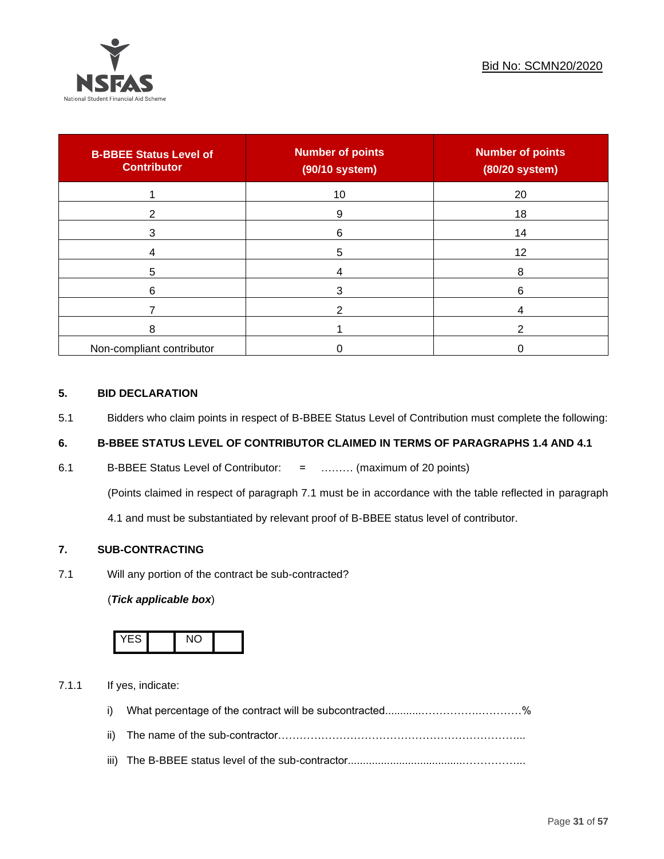

| <b>B-BBEE Status Level of</b><br><b>Contributor</b> | <b>Number of points</b><br>(90/10 system) | <b>Number of points</b><br>(80/20 system) |
|-----------------------------------------------------|-------------------------------------------|-------------------------------------------|
|                                                     | 10                                        | 20                                        |
| ◠                                                   | 9                                         | 18                                        |
| 3                                                   | 6                                         | 14                                        |
|                                                     | 5                                         | 12                                        |
| 5                                                   |                                           | 8                                         |
| 6                                                   |                                           | 6                                         |
|                                                     |                                           |                                           |
| 8                                                   |                                           |                                           |
| Non-compliant contributor                           |                                           |                                           |

## **5. BID DECLARATION**

5.1 Bidders who claim points in respect of B-BBEE Status Level of Contribution must complete the following:

## **6. B-BBEE STATUS LEVEL OF CONTRIBUTOR CLAIMED IN TERMS OF PARAGRAPHS 1.4 AND 4.1**

6.1 B-BBEE Status Level of Contributor: = ……… (maximum of 20 points)

(Points claimed in respect of paragraph 7.1 must be in accordance with the table reflected in paragraph

4.1 and must be substantiated by relevant proof of B-BBEE status level of contributor.

## **7. SUB-CONTRACTING**

7.1 Will any portion of the contract be sub-contracted?

## (*Tick applicable box*)



7.1.1 If yes, indicate:

- i) What percentage of the contract will be subcontracted............…………….…………%
- ii) The name of the sub-contractor…………………………………………………………...
- iii) The B-BBEE status level of the sub-contractor......................................……………...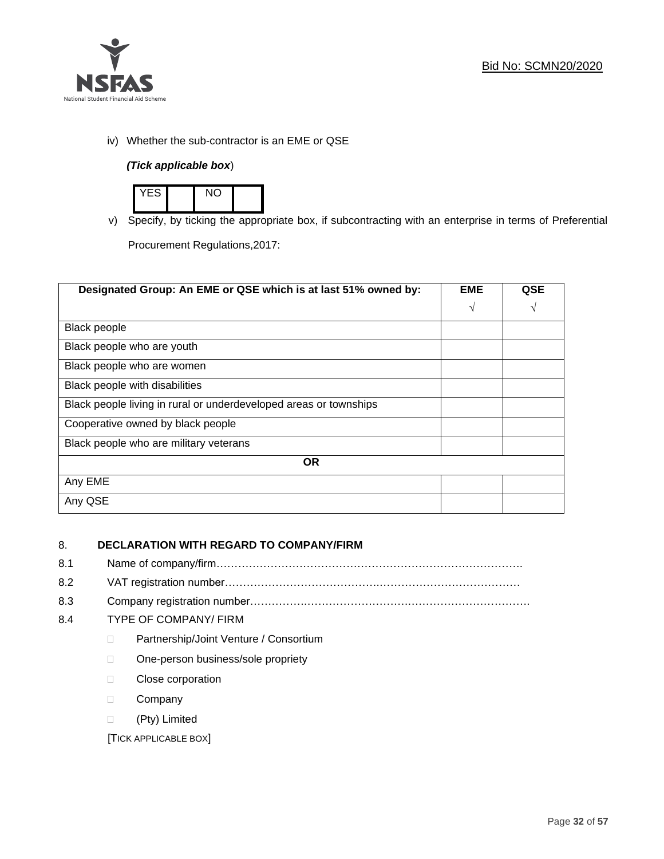

iv) Whether the sub-contractor is an EME or QSE

## *(Tick applicable box*)



v) Specify, by ticking the appropriate box, if subcontracting with an enterprise in terms of Preferential Procurement Regulations,2017:

**Designated Group: An EME or QSE which is at last 51% owned by: EME √ QSE √** Black people Black people who are youth Black people who are women Black people with disabilities Black people living in rural or underdeveloped areas or townships Cooperative owned by black people Black people who are military veterans **OR** Any EME Any QSE

## 8. **DECLARATION WITH REGARD TO COMPANY/FIRM**

- 8.1 Name of company/firm………………………………………………………………………….
- 8.2 VAT registration number…………………………………….…………………………………
- 8.3 Company registration number…………….……………………….…………………………….

## 8.4 TYPE OF COMPANY/ FIRM

- D Partnership/Joint Venture / Consortium
- □ One-person business/sole propriety
- D Close corporation
- D Company
- (Pty) Limited

[TICK APPLICABLE BOX]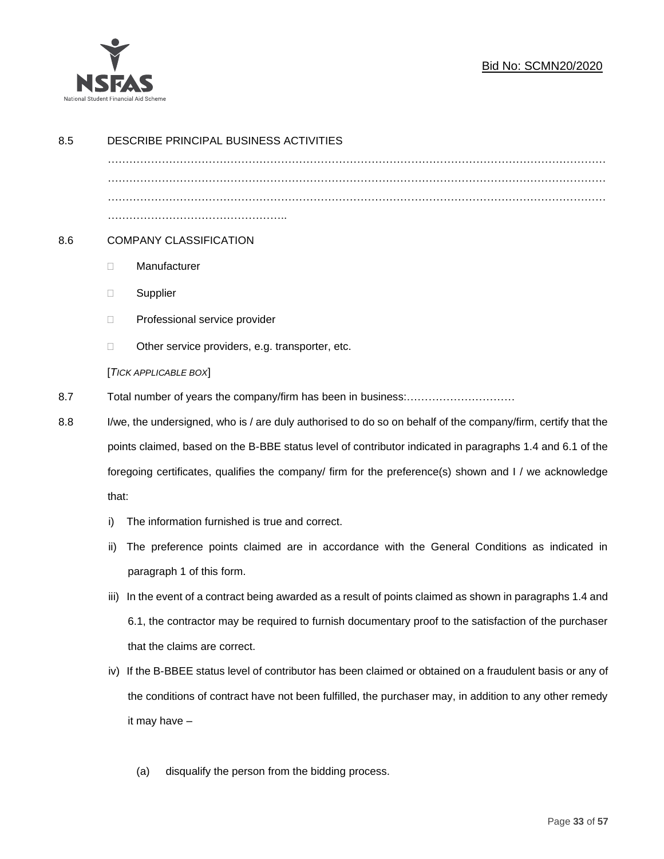

| 8.5 | DESCRIBE PRINCIPAL BUSINESS ACTIVITIES                                                                    |                                                                                                              |  |  |  |  |
|-----|-----------------------------------------------------------------------------------------------------------|--------------------------------------------------------------------------------------------------------------|--|--|--|--|
|     |                                                                                                           |                                                                                                              |  |  |  |  |
|     |                                                                                                           |                                                                                                              |  |  |  |  |
| 8.6 |                                                                                                           | <b>COMPANY CLASSIFICATION</b>                                                                                |  |  |  |  |
|     | $\Box$                                                                                                    | Manufacturer                                                                                                 |  |  |  |  |
|     | Ш                                                                                                         | Supplier                                                                                                     |  |  |  |  |
|     | □                                                                                                         | Professional service provider                                                                                |  |  |  |  |
|     | $\Box$                                                                                                    | Other service providers, e.g. transporter, etc.                                                              |  |  |  |  |
|     |                                                                                                           | [TICK APPLICABLE BOX]                                                                                        |  |  |  |  |
| 8.7 |                                                                                                           |                                                                                                              |  |  |  |  |
| 8.8 |                                                                                                           | I/we, the undersigned, who is / are duly authorised to do so on behalf of the company/firm, certify that the |  |  |  |  |
|     | points claimed, based on the B-BBE status level of contributor indicated in paragraphs 1.4 and 6.1 of the |                                                                                                              |  |  |  |  |
|     | foregoing certificates, qualifies the company/ firm for the preference(s) shown and I / we acknowledge    |                                                                                                              |  |  |  |  |
|     | that:                                                                                                     |                                                                                                              |  |  |  |  |
|     | The information furnished is true and correct.<br>i)                                                      |                                                                                                              |  |  |  |  |
|     | ii)                                                                                                       | The preference points claimed are in accordance with the General Conditions as indicated in                  |  |  |  |  |
|     |                                                                                                           | paragraph 1 of this form.                                                                                    |  |  |  |  |
|     | iii)                                                                                                      | In the event of a contract being awarded as a result of points claimed as shown in paragraphs 1.4 and        |  |  |  |  |
|     |                                                                                                           | 6.1, the contractor may be required to furnish documentary proof to the satisfaction of the purchaser        |  |  |  |  |
|     |                                                                                                           | that the claims are correct.                                                                                 |  |  |  |  |
|     |                                                                                                           | iv) If the B-BBEE status level of contributor has been claimed or obtained on a fraudulent basis or any of   |  |  |  |  |
|     |                                                                                                           | the conditions of contract have not been fulfilled, the purchaser may, in addition to any other remedy       |  |  |  |  |
|     |                                                                                                           | it may have -                                                                                                |  |  |  |  |
|     |                                                                                                           |                                                                                                              |  |  |  |  |

(a) disqualify the person from the bidding process.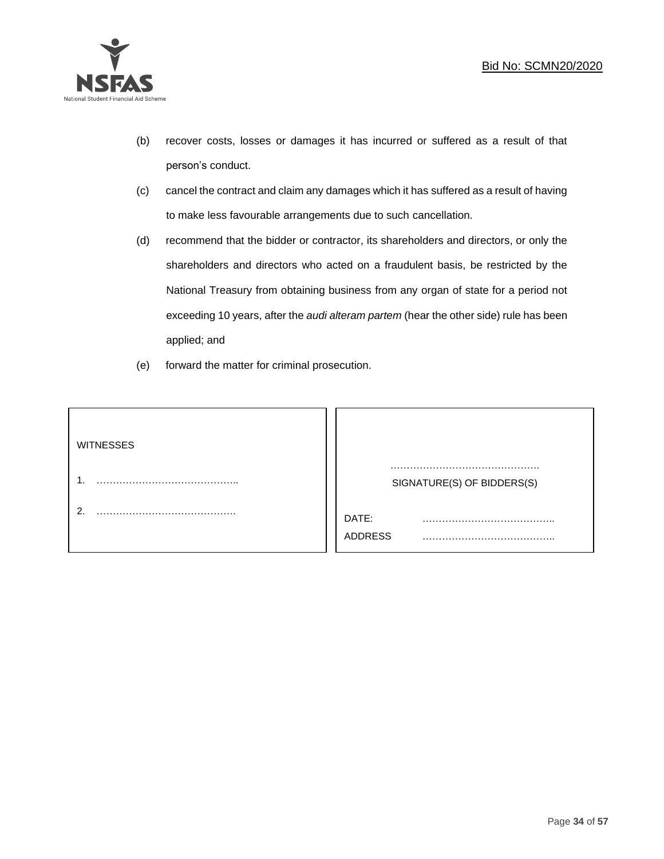

- (b) recover costs, losses or damages it has incurred or suffered as a result of that person's conduct.
- (c) cancel the contract and claim any damages which it has suffered as a result of having to make less favourable arrangements due to such cancellation.
- (d) recommend that the bidder or contractor, its shareholders and directors, or only the shareholders and directors who acted on a fraudulent basis, be restricted by the National Treasury from obtaining business from any organ of state for a period not exceeding 10 years, after the *audi alteram partem* (hear the other side) rule has been applied; and
- (e) forward the matter for criminal prosecution.

| <b>WITNESSES</b> |                            |  |
|------------------|----------------------------|--|
|                  | SIGNATURE(S) OF BIDDERS(S) |  |
|                  | DATE:<br>.<br>ADDRESS      |  |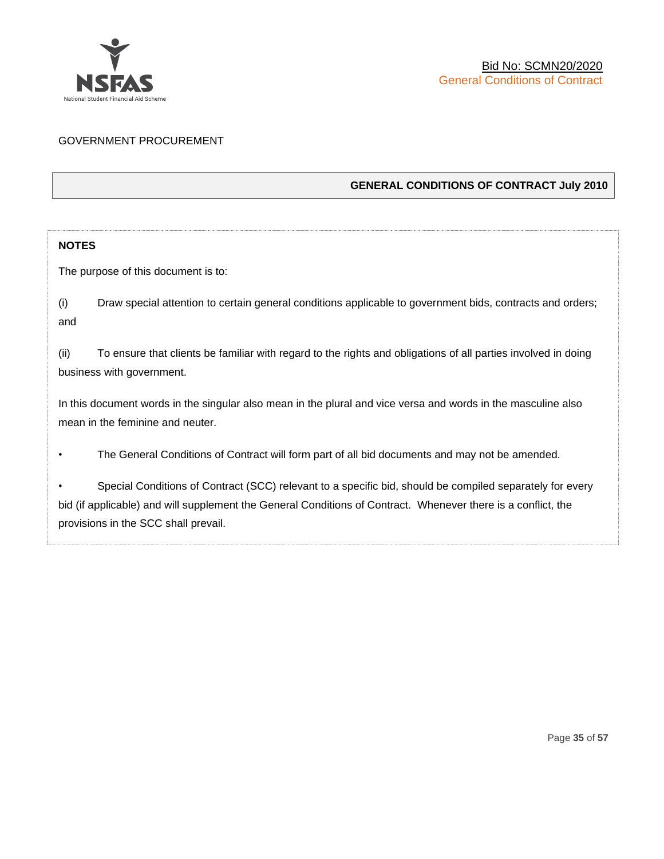

## GOVERNMENT PROCUREMENT

## **GENERAL CONDITIONS OF CONTRACT July 2010**

## **NOTES**

The purpose of this document is to:

(i) Draw special attention to certain general conditions applicable to government bids, contracts and orders; and

(ii) To ensure that clients be familiar with regard to the rights and obligations of all parties involved in doing business with government.

In this document words in the singular also mean in the plural and vice versa and words in the masculine also mean in the feminine and neuter.

• The General Conditions of Contract will form part of all bid documents and may not be amended.

Special Conditions of Contract (SCC) relevant to a specific bid, should be compiled separately for every bid (if applicable) and will supplement the General Conditions of Contract. Whenever there is a conflict, the provisions in the SCC shall prevail.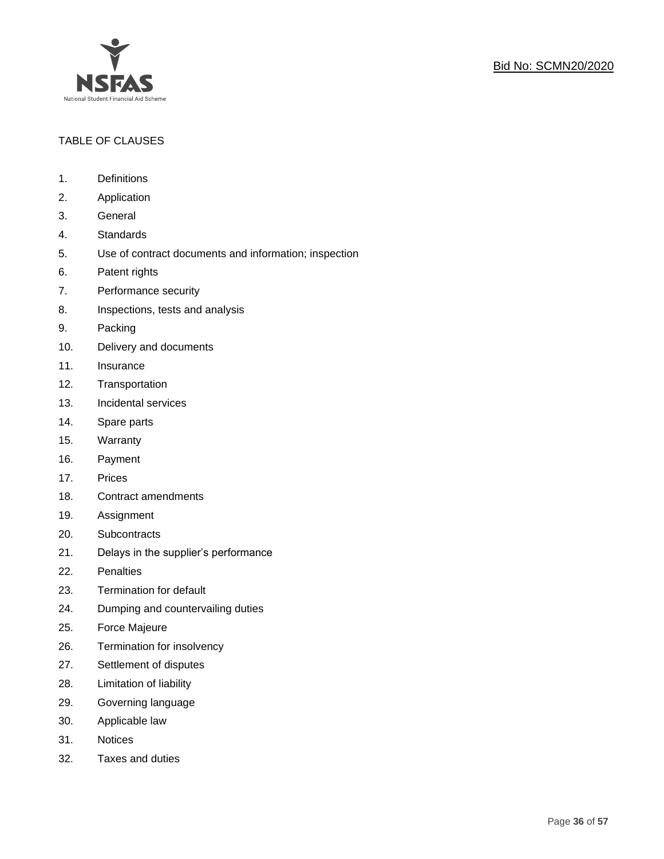

## TABLE OF CLAUSES

- 1. Definitions
- 2. Application
- 3. General
- 4. Standards
- 5. Use of contract documents and information; inspection
- 6. Patent rights
- 7. Performance security
- 8. Inspections, tests and analysis
- 9. Packing
- 10. Delivery and documents
- 11. Insurance
- 12. Transportation
- 13. Incidental services
- 14. Spare parts
- 15. Warranty
- 16. Payment
- 17. Prices
- 18. Contract amendments
- 19. Assignment
- 20. Subcontracts
- 21. Delays in the supplier's performance
- 22. Penalties
- 23. Termination for default
- 24. Dumping and countervailing duties
- 25. Force Majeure
- 26. Termination for insolvency
- 27. Settlement of disputes
- 28. Limitation of liability
- 29. Governing language
- 30. Applicable law
- 31. Notices
- 32. Taxes and duties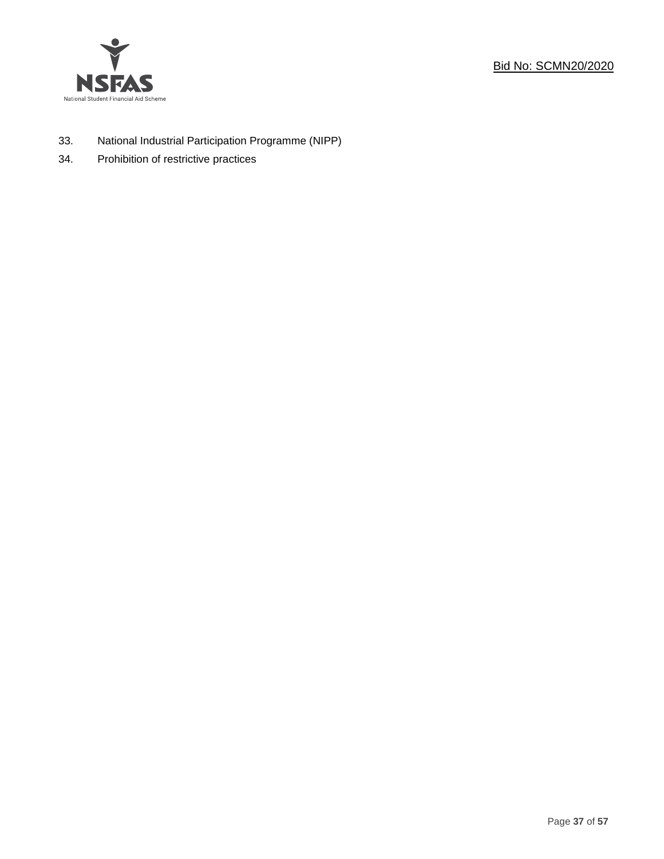

- 33. National Industrial Participation Programme (NIPP)
- 34. Prohibition of restrictive practices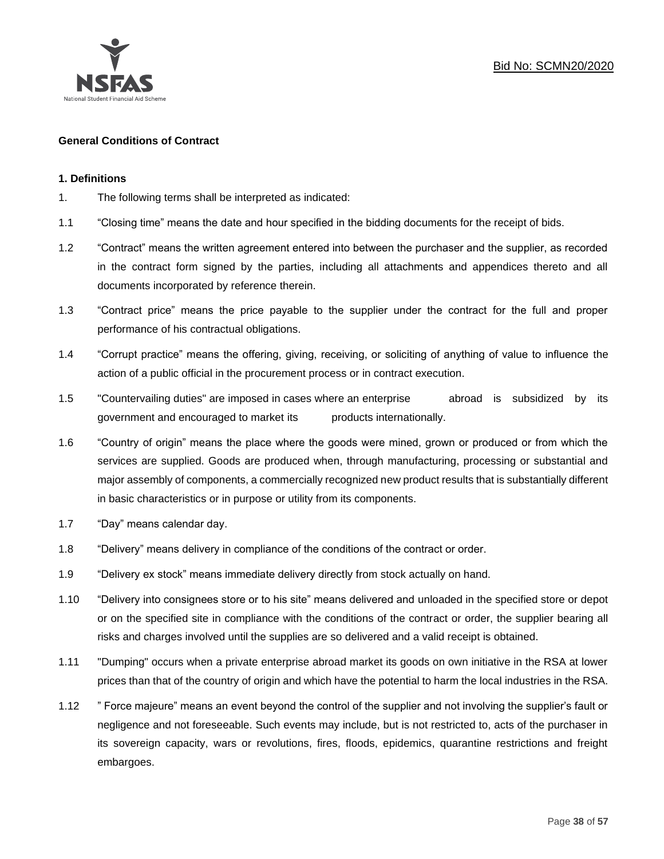

### **General Conditions of Contract**

#### **1. Definitions**

- 1. The following terms shall be interpreted as indicated:
- 1.1 "Closing time" means the date and hour specified in the bidding documents for the receipt of bids.
- 1.2 "Contract" means the written agreement entered into between the purchaser and the supplier, as recorded in the contract form signed by the parties, including all attachments and appendices thereto and all documents incorporated by reference therein.
- 1.3 "Contract price" means the price payable to the supplier under the contract for the full and proper performance of his contractual obligations.
- 1.4 "Corrupt practice" means the offering, giving, receiving, or soliciting of anything of value to influence the action of a public official in the procurement process or in contract execution.
- 1.5 "Countervailing duties" are imposed in cases where an enterprise abroad is subsidized by its government and encouraged to market its products internationally.
- 1.6 "Country of origin" means the place where the goods were mined, grown or produced or from which the services are supplied. Goods are produced when, through manufacturing, processing or substantial and major assembly of components, a commercially recognized new product results that is substantially different in basic characteristics or in purpose or utility from its components.
- 1.7 "Day" means calendar day.
- 1.8 "Delivery" means delivery in compliance of the conditions of the contract or order.
- 1.9 "Delivery ex stock" means immediate delivery directly from stock actually on hand.
- 1.10 "Delivery into consignees store or to his site" means delivered and unloaded in the specified store or depot or on the specified site in compliance with the conditions of the contract or order, the supplier bearing all risks and charges involved until the supplies are so delivered and a valid receipt is obtained.
- 1.11 "Dumping" occurs when a private enterprise abroad market its goods on own initiative in the RSA at lower prices than that of the country of origin and which have the potential to harm the local industries in the RSA.
- 1.12 " Force majeure" means an event beyond the control of the supplier and not involving the supplier's fault or negligence and not foreseeable. Such events may include, but is not restricted to, acts of the purchaser in its sovereign capacity, wars or revolutions, fires, floods, epidemics, quarantine restrictions and freight embargoes.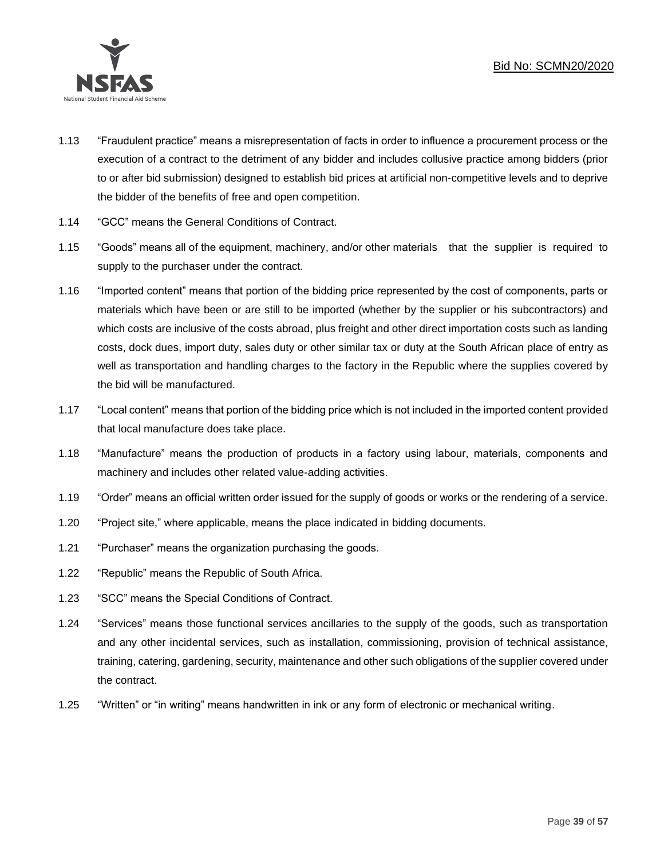

- 1.13 "Fraudulent practice" means a misrepresentation of facts in order to influence a procurement process or the execution of a contract to the detriment of any bidder and includes collusive practice among bidders (prior to or after bid submission) designed to establish bid prices at artificial non-competitive levels and to deprive the bidder of the benefits of free and open competition.
- 1.14 "GCC" means the General Conditions of Contract.
- 1.15 "Goods" means all of the equipment, machinery, and/or other materials that the supplier is required to supply to the purchaser under the contract.
- 1.16 "Imported content" means that portion of the bidding price represented by the cost of components, parts or materials which have been or are still to be imported (whether by the supplier or his subcontractors) and which costs are inclusive of the costs abroad, plus freight and other direct importation costs such as landing costs, dock dues, import duty, sales duty or other similar tax or duty at the South African place of entry as well as transportation and handling charges to the factory in the Republic where the supplies covered by the bid will be manufactured.
- 1.17 "Local content" means that portion of the bidding price which is not included in the imported content provided that local manufacture does take place.
- 1.18 "Manufacture" means the production of products in a factory using labour, materials, components and machinery and includes other related value-adding activities.
- 1.19 "Order" means an official written order issued for the supply of goods or works or the rendering of a service.
- 1.20 "Project site," where applicable, means the place indicated in bidding documents.
- 1.21 "Purchaser" means the organization purchasing the goods.
- 1.22 "Republic" means the Republic of South Africa.
- 1.23 "SCC" means the Special Conditions of Contract.
- 1.24 "Services" means those functional services ancillaries to the supply of the goods, such as transportation and any other incidental services, such as installation, commissioning, provision of technical assistance, training, catering, gardening, security, maintenance and other such obligations of the supplier covered under the contract.
- 1.25 "Written" or "in writing" means handwritten in ink or any form of electronic or mechanical writing.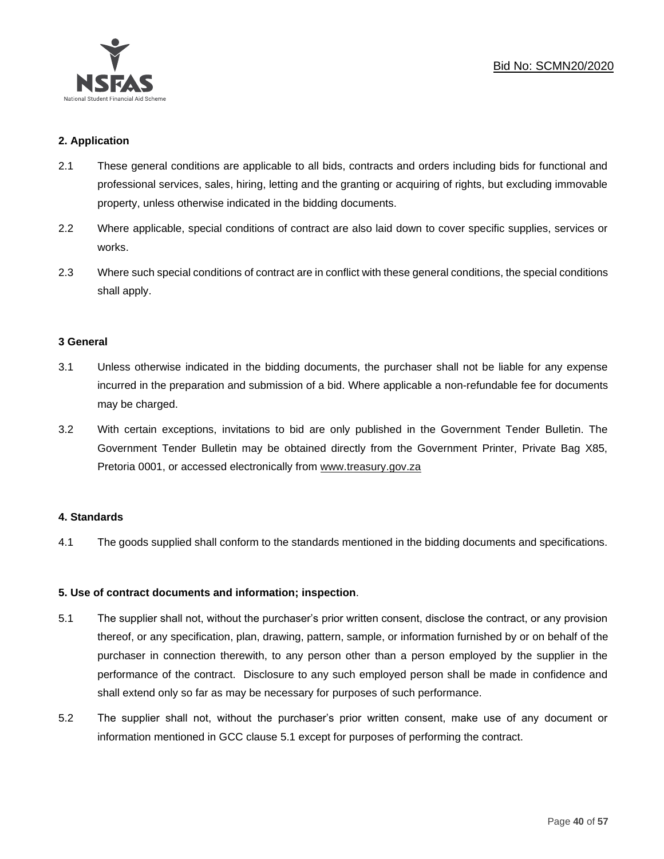

## **2. Application**

- 2.1 These general conditions are applicable to all bids, contracts and orders including bids for functional and professional services, sales, hiring, letting and the granting or acquiring of rights, but excluding immovable property, unless otherwise indicated in the bidding documents.
- 2.2 Where applicable, special conditions of contract are also laid down to cover specific supplies, services or works.
- 2.3 Where such special conditions of contract are in conflict with these general conditions, the special conditions shall apply.

#### **3 General**

- 3.1 Unless otherwise indicated in the bidding documents, the purchaser shall not be liable for any expense incurred in the preparation and submission of a bid. Where applicable a non-refundable fee for documents may be charged.
- 3.2 With certain exceptions, invitations to bid are only published in the Government Tender Bulletin. The Government Tender Bulletin may be obtained directly from the Government Printer, Private Bag X85, Pretoria 0001, or accessed electronically from [www.treasury.gov.za](http://www.treasury.gov.za/)

## **4. Standards**

4.1 The goods supplied shall conform to the standards mentioned in the bidding documents and specifications.

## **5. Use of contract documents and information; inspection**.

- 5.1 The supplier shall not, without the purchaser's prior written consent, disclose the contract, or any provision thereof, or any specification, plan, drawing, pattern, sample, or information furnished by or on behalf of the purchaser in connection therewith, to any person other than a person employed by the supplier in the performance of the contract. Disclosure to any such employed person shall be made in confidence and shall extend only so far as may be necessary for purposes of such performance.
- 5.2 The supplier shall not, without the purchaser's prior written consent, make use of any document or information mentioned in GCC clause 5.1 except for purposes of performing the contract.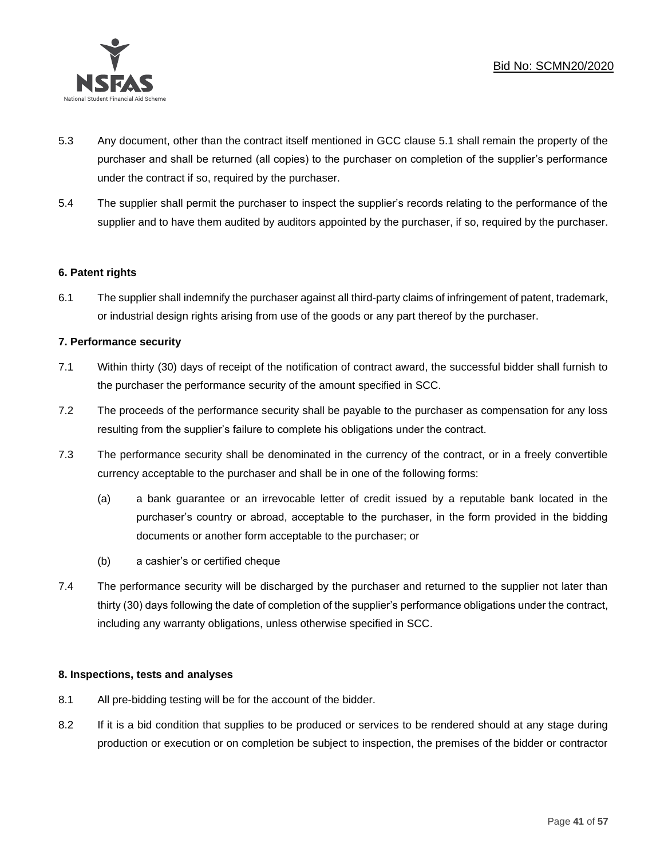

- 5.3 Any document, other than the contract itself mentioned in GCC clause 5.1 shall remain the property of the purchaser and shall be returned (all copies) to the purchaser on completion of the supplier's performance under the contract if so, required by the purchaser.
- 5.4 The supplier shall permit the purchaser to inspect the supplier's records relating to the performance of the supplier and to have them audited by auditors appointed by the purchaser, if so, required by the purchaser.

## **6. Patent rights**

6.1 The supplier shall indemnify the purchaser against all third-party claims of infringement of patent, trademark, or industrial design rights arising from use of the goods or any part thereof by the purchaser.

### **7. Performance security**

- 7.1 Within thirty (30) days of receipt of the notification of contract award, the successful bidder shall furnish to the purchaser the performance security of the amount specified in SCC.
- 7.2 The proceeds of the performance security shall be payable to the purchaser as compensation for any loss resulting from the supplier's failure to complete his obligations under the contract.
- 7.3 The performance security shall be denominated in the currency of the contract, or in a freely convertible currency acceptable to the purchaser and shall be in one of the following forms:
	- (a) a bank guarantee or an irrevocable letter of credit issued by a reputable bank located in the purchaser's country or abroad, acceptable to the purchaser, in the form provided in the bidding documents or another form acceptable to the purchaser; or
	- (b) a cashier's or certified cheque
- 7.4 The performance security will be discharged by the purchaser and returned to the supplier not later than thirty (30) days following the date of completion of the supplier's performance obligations under the contract, including any warranty obligations, unless otherwise specified in SCC.

#### **8. Inspections, tests and analyses**

- 8.1 All pre-bidding testing will be for the account of the bidder.
- 8.2 If it is a bid condition that supplies to be produced or services to be rendered should at any stage during production or execution or on completion be subject to inspection, the premises of the bidder or contractor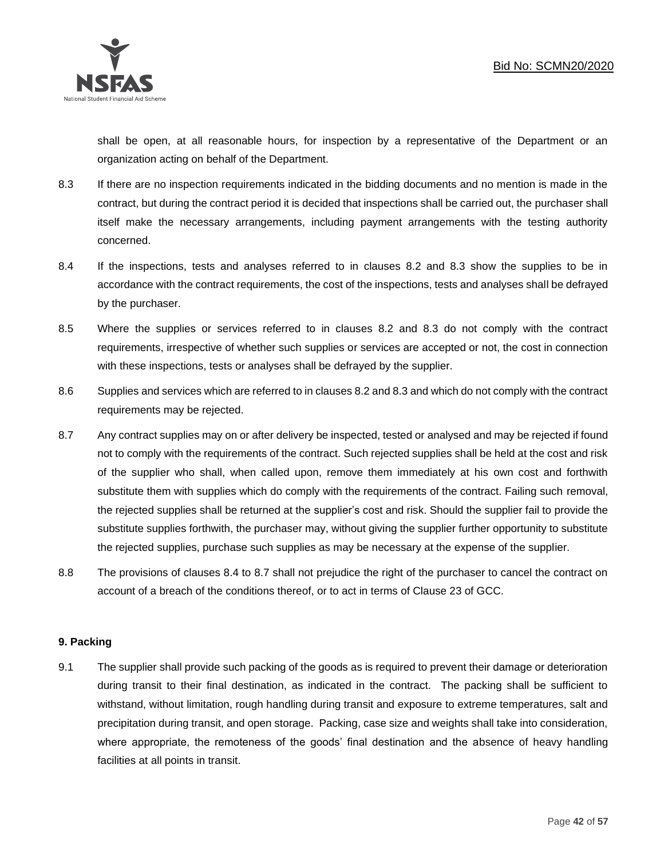

shall be open, at all reasonable hours, for inspection by a representative of the Department or an organization acting on behalf of the Department.

- 8.3 If there are no inspection requirements indicated in the bidding documents and no mention is made in the contract, but during the contract period it is decided that inspections shall be carried out, the purchaser shall itself make the necessary arrangements, including payment arrangements with the testing authority concerned.
- 8.4 If the inspections, tests and analyses referred to in clauses 8.2 and 8.3 show the supplies to be in accordance with the contract requirements, the cost of the inspections, tests and analyses shall be defrayed by the purchaser.
- 8.5 Where the supplies or services referred to in clauses 8.2 and 8.3 do not comply with the contract requirements, irrespective of whether such supplies or services are accepted or not, the cost in connection with these inspections, tests or analyses shall be defrayed by the supplier.
- 8.6 Supplies and services which are referred to in clauses 8.2 and 8.3 and which do not comply with the contract requirements may be rejected.
- 8.7 Any contract supplies may on or after delivery be inspected, tested or analysed and may be rejected if found not to comply with the requirements of the contract. Such rejected supplies shall be held at the cost and risk of the supplier who shall, when called upon, remove them immediately at his own cost and forthwith substitute them with supplies which do comply with the requirements of the contract. Failing such removal, the rejected supplies shall be returned at the supplier's cost and risk. Should the supplier fail to provide the substitute supplies forthwith, the purchaser may, without giving the supplier further opportunity to substitute the rejected supplies, purchase such supplies as may be necessary at the expense of the supplier.
- 8.8 The provisions of clauses 8.4 to 8.7 shall not prejudice the right of the purchaser to cancel the contract on account of a breach of the conditions thereof, or to act in terms of Clause 23 of GCC.

## **9. Packing**

9.1 The supplier shall provide such packing of the goods as is required to prevent their damage or deterioration during transit to their final destination, as indicated in the contract. The packing shall be sufficient to withstand, without limitation, rough handling during transit and exposure to extreme temperatures, salt and precipitation during transit, and open storage. Packing, case size and weights shall take into consideration, where appropriate, the remoteness of the goods' final destination and the absence of heavy handling facilities at all points in transit.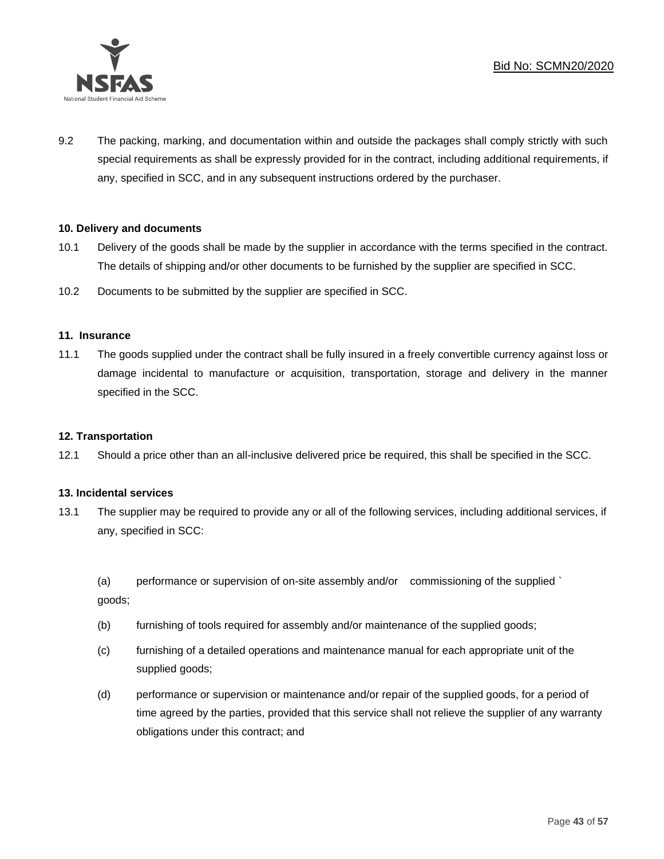

9.2 The packing, marking, and documentation within and outside the packages shall comply strictly with such special requirements as shall be expressly provided for in the contract, including additional requirements, if any, specified in SCC, and in any subsequent instructions ordered by the purchaser.

### **10. Delivery and documents**

- 10.1 Delivery of the goods shall be made by the supplier in accordance with the terms specified in the contract. The details of shipping and/or other documents to be furnished by the supplier are specified in SCC.
- 10.2 Documents to be submitted by the supplier are specified in SCC.

#### **11. Insurance**

11.1 The goods supplied under the contract shall be fully insured in a freely convertible currency against loss or damage incidental to manufacture or acquisition, transportation, storage and delivery in the manner specified in the SCC.

#### **12. Transportation**

12.1 Should a price other than an all-inclusive delivered price be required, this shall be specified in the SCC.

#### **13. Incidental services**

13.1 The supplier may be required to provide any or all of the following services, including additional services, if any, specified in SCC:

(a) performance or supervision of on-site assembly and/or commissioning of the supplied ` goods;

- (b) furnishing of tools required for assembly and/or maintenance of the supplied goods;
- (c) furnishing of a detailed operations and maintenance manual for each appropriate unit of the supplied goods;
- (d) performance or supervision or maintenance and/or repair of the supplied goods, for a period of time agreed by the parties, provided that this service shall not relieve the supplier of any warranty obligations under this contract; and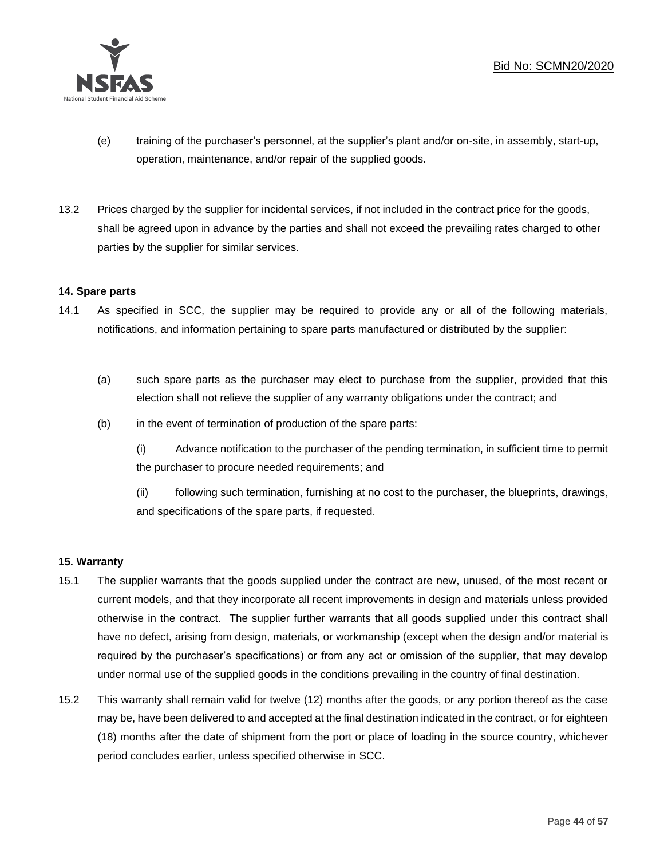

- (e) training of the purchaser's personnel, at the supplier's plant and/or on-site, in assembly, start-up, operation, maintenance, and/or repair of the supplied goods.
- 13.2 Prices charged by the supplier for incidental services, if not included in the contract price for the goods, shall be agreed upon in advance by the parties and shall not exceed the prevailing rates charged to other parties by the supplier for similar services.

### **14. Spare parts**

- 14.1 As specified in SCC, the supplier may be required to provide any or all of the following materials, notifications, and information pertaining to spare parts manufactured or distributed by the supplier:
	- (a) such spare parts as the purchaser may elect to purchase from the supplier, provided that this election shall not relieve the supplier of any warranty obligations under the contract; and
	- (b) in the event of termination of production of the spare parts:

(i) Advance notification to the purchaser of the pending termination, in sufficient time to permit the purchaser to procure needed requirements; and

(ii) following such termination, furnishing at no cost to the purchaser, the blueprints, drawings, and specifications of the spare parts, if requested.

## **15. Warranty**

- 15.1 The supplier warrants that the goods supplied under the contract are new, unused, of the most recent or current models, and that they incorporate all recent improvements in design and materials unless provided otherwise in the contract. The supplier further warrants that all goods supplied under this contract shall have no defect, arising from design, materials, or workmanship (except when the design and/or material is required by the purchaser's specifications) or from any act or omission of the supplier, that may develop under normal use of the supplied goods in the conditions prevailing in the country of final destination.
- 15.2 This warranty shall remain valid for twelve (12) months after the goods, or any portion thereof as the case may be, have been delivered to and accepted at the final destination indicated in the contract, or for eighteen (18) months after the date of shipment from the port or place of loading in the source country, whichever period concludes earlier, unless specified otherwise in SCC.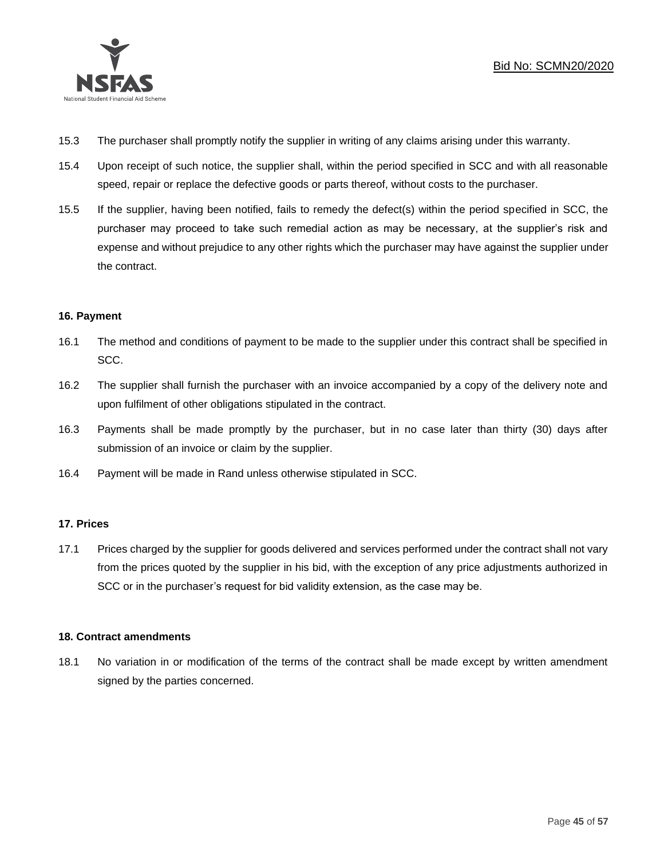

- 15.3 The purchaser shall promptly notify the supplier in writing of any claims arising under this warranty.
- 15.4 Upon receipt of such notice, the supplier shall, within the period specified in SCC and with all reasonable speed, repair or replace the defective goods or parts thereof, without costs to the purchaser.
- 15.5 If the supplier, having been notified, fails to remedy the defect(s) within the period specified in SCC, the purchaser may proceed to take such remedial action as may be necessary, at the supplier's risk and expense and without prejudice to any other rights which the purchaser may have against the supplier under the contract.

## **16. Payment**

- 16.1 The method and conditions of payment to be made to the supplier under this contract shall be specified in SCC.
- 16.2 The supplier shall furnish the purchaser with an invoice accompanied by a copy of the delivery note and upon fulfilment of other obligations stipulated in the contract.
- 16.3 Payments shall be made promptly by the purchaser, but in no case later than thirty (30) days after submission of an invoice or claim by the supplier.
- 16.4 Payment will be made in Rand unless otherwise stipulated in SCC.

#### **17. Prices**

17.1 Prices charged by the supplier for goods delivered and services performed under the contract shall not vary from the prices quoted by the supplier in his bid, with the exception of any price adjustments authorized in SCC or in the purchaser's request for bid validity extension, as the case may be.

#### **18. Contract amendments**

18.1 No variation in or modification of the terms of the contract shall be made except by written amendment signed by the parties concerned.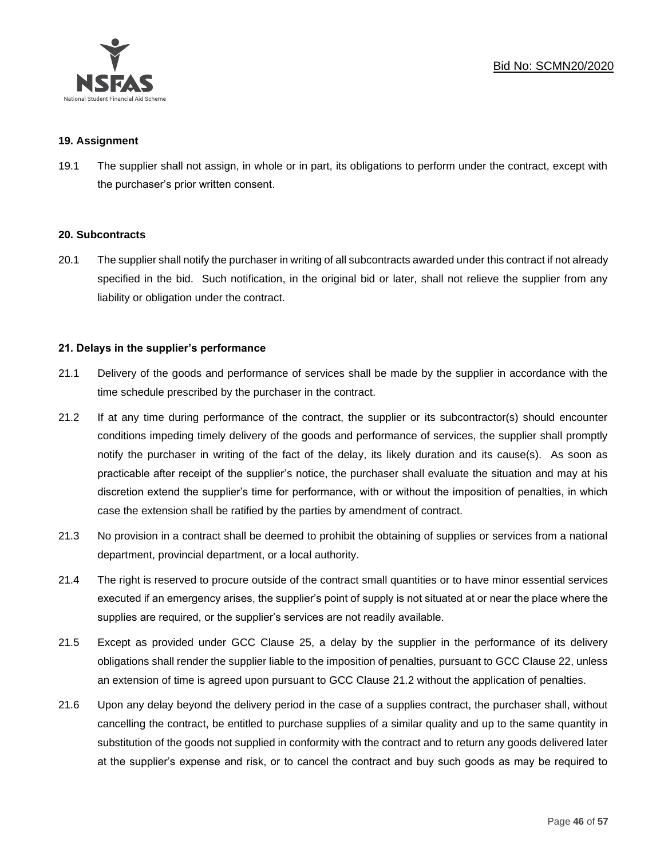

### **19. Assignment**

19.1 The supplier shall not assign, in whole or in part, its obligations to perform under the contract, except with the purchaser's prior written consent.

#### **20. Subcontracts**

20.1 The supplier shall notify the purchaser in writing of all subcontracts awarded under this contract if not already specified in the bid. Such notification, in the original bid or later, shall not relieve the supplier from any liability or obligation under the contract.

## **21. Delays in the supplier's performance**

- 21.1 Delivery of the goods and performance of services shall be made by the supplier in accordance with the time schedule prescribed by the purchaser in the contract.
- 21.2 If at any time during performance of the contract, the supplier or its subcontractor(s) should encounter conditions impeding timely delivery of the goods and performance of services, the supplier shall promptly notify the purchaser in writing of the fact of the delay, its likely duration and its cause(s). As soon as practicable after receipt of the supplier's notice, the purchaser shall evaluate the situation and may at his discretion extend the supplier's time for performance, with or without the imposition of penalties, in which case the extension shall be ratified by the parties by amendment of contract.
- 21.3 No provision in a contract shall be deemed to prohibit the obtaining of supplies or services from a national department, provincial department, or a local authority.
- 21.4 The right is reserved to procure outside of the contract small quantities or to have minor essential services executed if an emergency arises, the supplier's point of supply is not situated at or near the place where the supplies are required, or the supplier's services are not readily available.
- 21.5 Except as provided under GCC Clause 25, a delay by the supplier in the performance of its delivery obligations shall render the supplier liable to the imposition of penalties, pursuant to GCC Clause 22, unless an extension of time is agreed upon pursuant to GCC Clause 21.2 without the application of penalties.
- 21.6 Upon any delay beyond the delivery period in the case of a supplies contract, the purchaser shall, without cancelling the contract, be entitled to purchase supplies of a similar quality and up to the same quantity in substitution of the goods not supplied in conformity with the contract and to return any goods delivered later at the supplier's expense and risk, or to cancel the contract and buy such goods as may be required to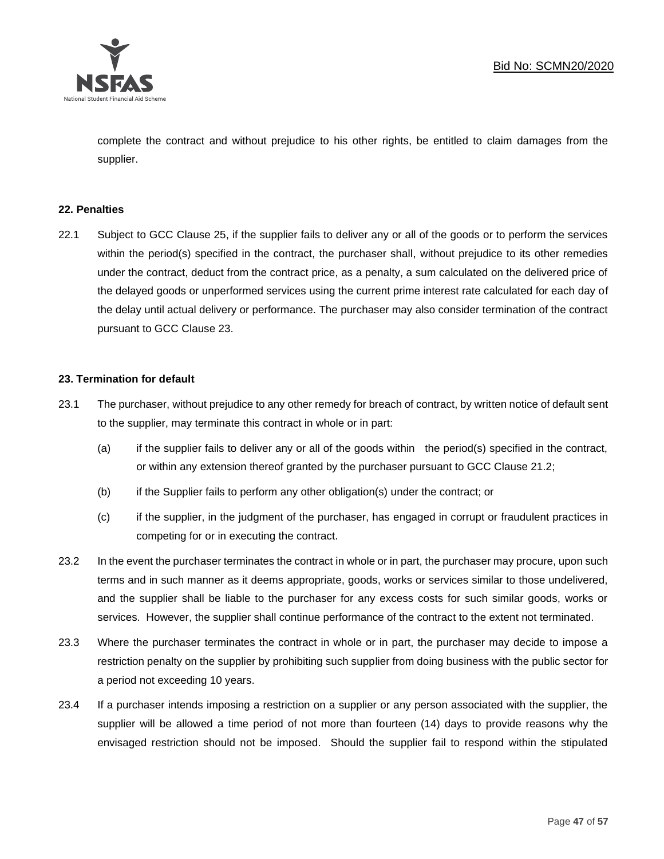

complete the contract and without prejudice to his other rights, be entitled to claim damages from the supplier.

## **22. Penalties**

22.1 Subject to GCC Clause 25, if the supplier fails to deliver any or all of the goods or to perform the services within the period(s) specified in the contract, the purchaser shall, without prejudice to its other remedies under the contract, deduct from the contract price, as a penalty, a sum calculated on the delivered price of the delayed goods or unperformed services using the current prime interest rate calculated for each day of the delay until actual delivery or performance. The purchaser may also consider termination of the contract pursuant to GCC Clause 23.

#### **23. Termination for default**

- 23.1 The purchaser, without prejudice to any other remedy for breach of contract, by written notice of default sent to the supplier, may terminate this contract in whole or in part:
	- (a) if the supplier fails to deliver any or all of the goods within the period(s) specified in the contract, or within any extension thereof granted by the purchaser pursuant to GCC Clause 21.2;
	- (b) if the Supplier fails to perform any other obligation(s) under the contract; or
	- (c) if the supplier, in the judgment of the purchaser, has engaged in corrupt or fraudulent practices in competing for or in executing the contract.
- 23.2 In the event the purchaser terminates the contract in whole or in part, the purchaser may procure, upon such terms and in such manner as it deems appropriate, goods, works or services similar to those undelivered, and the supplier shall be liable to the purchaser for any excess costs for such similar goods, works or services. However, the supplier shall continue performance of the contract to the extent not terminated.
- 23.3 Where the purchaser terminates the contract in whole or in part, the purchaser may decide to impose a restriction penalty on the supplier by prohibiting such supplier from doing business with the public sector for a period not exceeding 10 years.
- 23.4 If a purchaser intends imposing a restriction on a supplier or any person associated with the supplier, the supplier will be allowed a time period of not more than fourteen (14) days to provide reasons why the envisaged restriction should not be imposed. Should the supplier fail to respond within the stipulated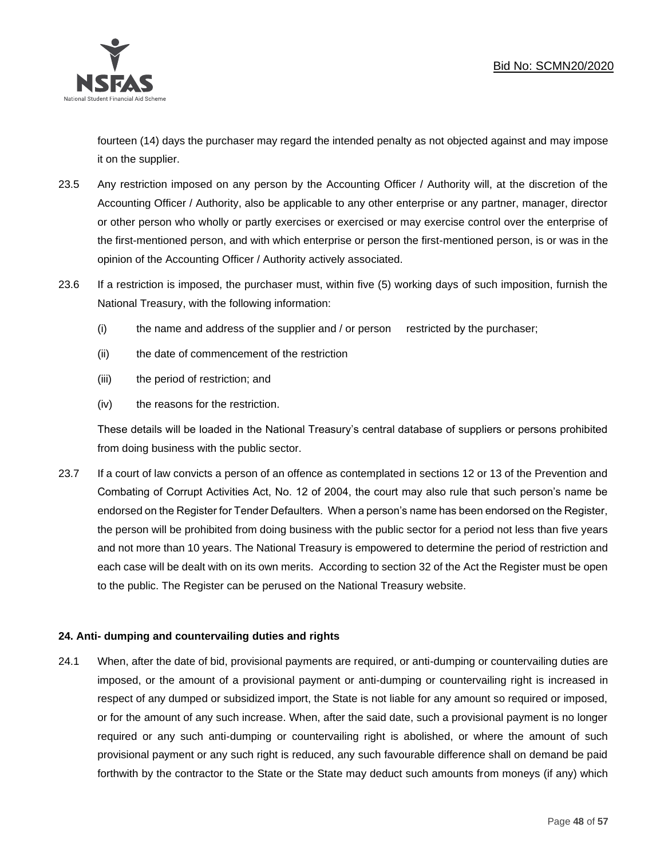

fourteen (14) days the purchaser may regard the intended penalty as not objected against and may impose it on the supplier.

- 23.5 Any restriction imposed on any person by the Accounting Officer / Authority will, at the discretion of the Accounting Officer / Authority, also be applicable to any other enterprise or any partner, manager, director or other person who wholly or partly exercises or exercised or may exercise control over the enterprise of the first-mentioned person, and with which enterprise or person the first-mentioned person, is or was in the opinion of the Accounting Officer / Authority actively associated.
- 23.6 If a restriction is imposed, the purchaser must, within five (5) working days of such imposition, furnish the National Treasury, with the following information:
	- (i) the name and address of the supplier and / or person restricted by the purchaser;
	- (ii) the date of commencement of the restriction
	- (iii) the period of restriction; and
	- (iv) the reasons for the restriction.

These details will be loaded in the National Treasury's central database of suppliers or persons prohibited from doing business with the public sector.

23.7 If a court of law convicts a person of an offence as contemplated in sections 12 or 13 of the Prevention and Combating of Corrupt Activities Act, No. 12 of 2004, the court may also rule that such person's name be endorsed on the Register for Tender Defaulters. When a person's name has been endorsed on the Register, the person will be prohibited from doing business with the public sector for a period not less than five years and not more than 10 years. The National Treasury is empowered to determine the period of restriction and each case will be dealt with on its own merits. According to section 32 of the Act the Register must be open to the public. The Register can be perused on the National Treasury website.

## **24. Anti- dumping and countervailing duties and rights**

24.1 When, after the date of bid, provisional payments are required, or anti-dumping or countervailing duties are imposed, or the amount of a provisional payment or anti-dumping or countervailing right is increased in respect of any dumped or subsidized import, the State is not liable for any amount so required or imposed, or for the amount of any such increase. When, after the said date, such a provisional payment is no longer required or any such anti-dumping or countervailing right is abolished, or where the amount of such provisional payment or any such right is reduced, any such favourable difference shall on demand be paid forthwith by the contractor to the State or the State may deduct such amounts from moneys (if any) which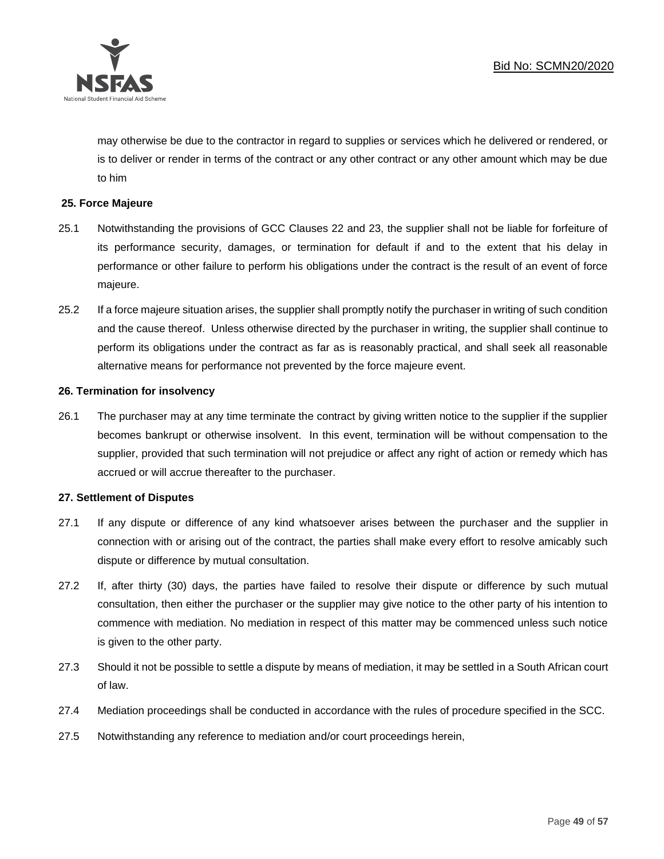

may otherwise be due to the contractor in regard to supplies or services which he delivered or rendered, or is to deliver or render in terms of the contract or any other contract or any other amount which may be due to him

## **25. Force Majeure**

- 25.1 Notwithstanding the provisions of GCC Clauses 22 and 23, the supplier shall not be liable for forfeiture of its performance security, damages, or termination for default if and to the extent that his delay in performance or other failure to perform his obligations under the contract is the result of an event of force majeure.
- 25.2 If a force majeure situation arises, the supplier shall promptly notify the purchaser in writing of such condition and the cause thereof. Unless otherwise directed by the purchaser in writing, the supplier shall continue to perform its obligations under the contract as far as is reasonably practical, and shall seek all reasonable alternative means for performance not prevented by the force majeure event.

#### **26. Termination for insolvency**

26.1 The purchaser may at any time terminate the contract by giving written notice to the supplier if the supplier becomes bankrupt or otherwise insolvent. In this event, termination will be without compensation to the supplier, provided that such termination will not prejudice or affect any right of action or remedy which has accrued or will accrue thereafter to the purchaser.

#### **27. Settlement of Disputes**

- 27.1 If any dispute or difference of any kind whatsoever arises between the purchaser and the supplier in connection with or arising out of the contract, the parties shall make every effort to resolve amicably such dispute or difference by mutual consultation.
- 27.2 If, after thirty (30) days, the parties have failed to resolve their dispute or difference by such mutual consultation, then either the purchaser or the supplier may give notice to the other party of his intention to commence with mediation. No mediation in respect of this matter may be commenced unless such notice is given to the other party.
- 27.3 Should it not be possible to settle a dispute by means of mediation, it may be settled in a South African court of law.
- 27.4 Mediation proceedings shall be conducted in accordance with the rules of procedure specified in the SCC.
- 27.5 Notwithstanding any reference to mediation and/or court proceedings herein,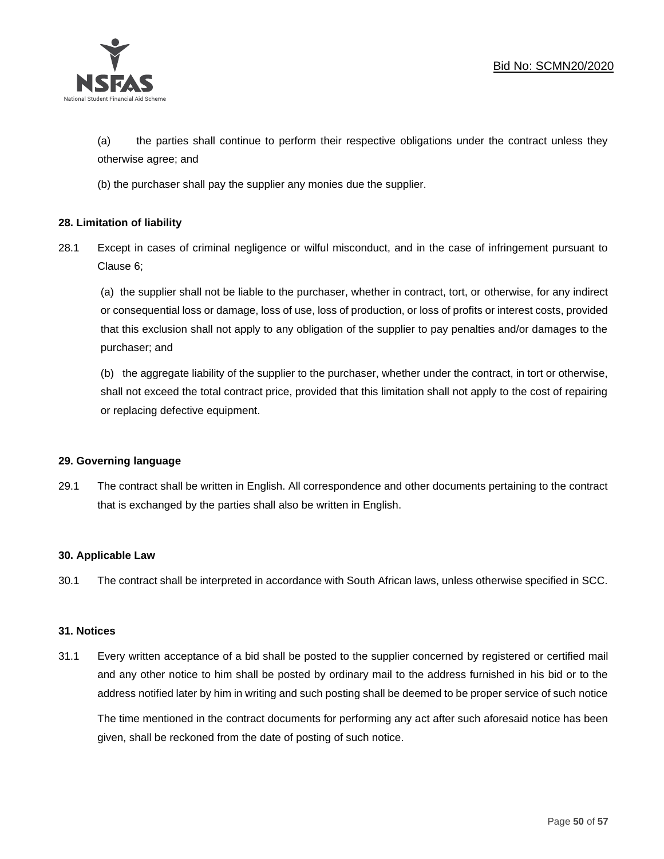

(a) the parties shall continue to perform their respective obligations under the contract unless they otherwise agree; and

(b) the purchaser shall pay the supplier any monies due the supplier.

## **28. Limitation of liability**

28.1 Except in cases of criminal negligence or wilful misconduct, and in the case of infringement pursuant to Clause 6;

(a) the supplier shall not be liable to the purchaser, whether in contract, tort, or otherwise, for any indirect or consequential loss or damage, loss of use, loss of production, or loss of profits or interest costs, provided that this exclusion shall not apply to any obligation of the supplier to pay penalties and/or damages to the purchaser; and

(b) the aggregate liability of the supplier to the purchaser, whether under the contract, in tort or otherwise, shall not exceed the total contract price, provided that this limitation shall not apply to the cost of repairing or replacing defective equipment.

#### **29. Governing language**

29.1 The contract shall be written in English. All correspondence and other documents pertaining to the contract that is exchanged by the parties shall also be written in English.

#### **30. Applicable Law**

30.1 The contract shall be interpreted in accordance with South African laws, unless otherwise specified in SCC.

#### **31. Notices**

31.1 Every written acceptance of a bid shall be posted to the supplier concerned by registered or certified mail and any other notice to him shall be posted by ordinary mail to the address furnished in his bid or to the address notified later by him in writing and such posting shall be deemed to be proper service of such notice

The time mentioned in the contract documents for performing any act after such aforesaid notice has been given, shall be reckoned from the date of posting of such notice.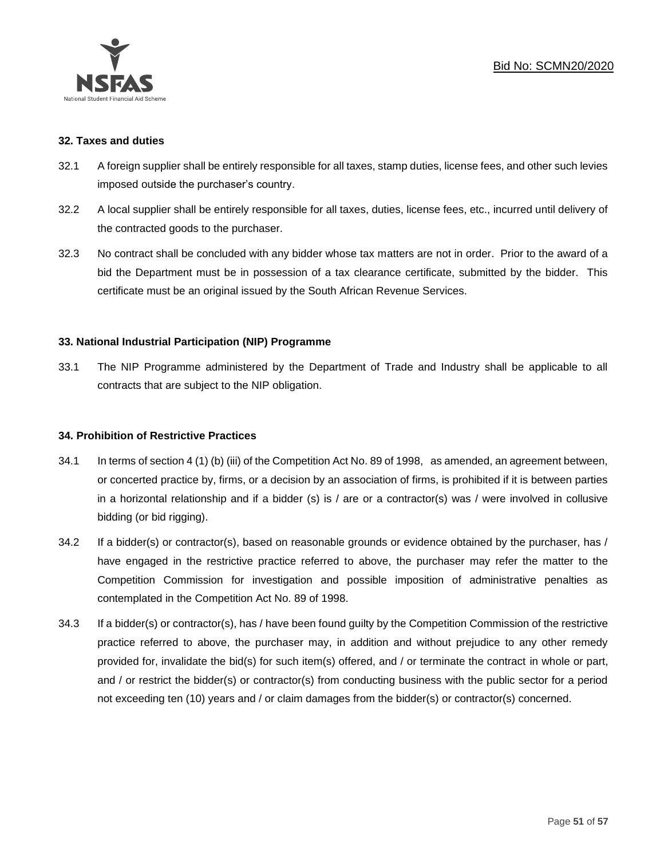

### **32. Taxes and duties**

- 32.1 A foreign supplier shall be entirely responsible for all taxes, stamp duties, license fees, and other such levies imposed outside the purchaser's country.
- 32.2 A local supplier shall be entirely responsible for all taxes, duties, license fees, etc., incurred until delivery of the contracted goods to the purchaser.
- 32.3 No contract shall be concluded with any bidder whose tax matters are not in order. Prior to the award of a bid the Department must be in possession of a tax clearance certificate, submitted by the bidder. This certificate must be an original issued by the South African Revenue Services.

### **33. National Industrial Participation (NIP) Programme**

33.1 The NIP Programme administered by the Department of Trade and Industry shall be applicable to all contracts that are subject to the NIP obligation.

#### **34. Prohibition of Restrictive Practices**

- 34.1 In terms of section 4 (1) (b) (iii) of the Competition Act No. 89 of 1998, as amended, an agreement between, or concerted practice by, firms, or a decision by an association of firms, is prohibited if it is between parties in a horizontal relationship and if a bidder (s) is / are or a contractor(s) was / were involved in collusive bidding (or bid rigging).
- 34.2 If a bidder(s) or contractor(s), based on reasonable grounds or evidence obtained by the purchaser, has / have engaged in the restrictive practice referred to above, the purchaser may refer the matter to the Competition Commission for investigation and possible imposition of administrative penalties as contemplated in the Competition Act No. 89 of 1998.
- 34.3 If a bidder(s) or contractor(s), has / have been found guilty by the Competition Commission of the restrictive practice referred to above, the purchaser may, in addition and without prejudice to any other remedy provided for, invalidate the bid(s) for such item(s) offered, and / or terminate the contract in whole or part, and / or restrict the bidder(s) or contractor(s) from conducting business with the public sector for a period not exceeding ten (10) years and / or claim damages from the bidder(s) or contractor(s) concerned.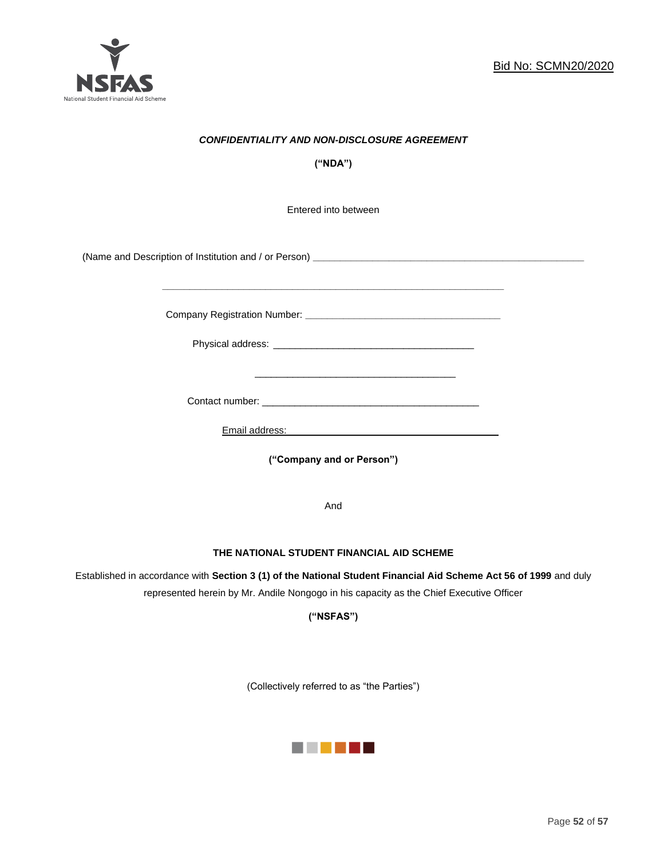

## *CONFIDENTIALITY AND NON-DISCLOSURE AGREEMENT*

**("NDA")**

Entered into between

(Name and Description of Institution and / or Person) **\_\_\_\_\_\_\_\_\_\_\_\_\_\_\_\_\_\_\_\_\_\_\_\_\_\_\_\_\_\_\_\_\_\_\_\_\_\_\_\_\_\_\_\_\_\_\_\_\_\_**

Company Registration Number: **\_\_\_\_\_\_\_\_\_\_\_\_\_\_\_\_\_\_\_\_\_\_\_\_\_\_\_\_\_\_\_\_\_\_\_\_**

 $\frac{1}{\sqrt{2}}$  ,  $\frac{1}{\sqrt{2}}$  ,  $\frac{1}{\sqrt{2}}$  ,  $\frac{1}{\sqrt{2}}$  ,  $\frac{1}{\sqrt{2}}$  ,  $\frac{1}{\sqrt{2}}$  ,  $\frac{1}{\sqrt{2}}$  ,  $\frac{1}{\sqrt{2}}$  ,  $\frac{1}{\sqrt{2}}$  ,  $\frac{1}{\sqrt{2}}$  ,  $\frac{1}{\sqrt{2}}$  ,  $\frac{1}{\sqrt{2}}$  ,  $\frac{1}{\sqrt{2}}$  ,  $\frac{1}{\sqrt{2}}$  ,  $\frac{1}{\sqrt{2}}$ 

Physical address: \_\_\_\_\_\_\_\_\_\_\_\_\_\_\_\_\_\_\_\_\_\_\_\_\_\_\_\_\_\_\_\_\_\_\_\_\_

**\_\_\_\_\_\_\_\_\_\_\_\_\_\_\_\_\_\_\_\_\_\_\_\_\_\_\_\_\_\_\_\_\_\_\_\_\_\_\_\_\_\_\_\_\_\_\_\_\_\_\_\_\_\_\_\_\_\_\_\_\_\_\_**

Contact number: \_\_\_\_\_\_\_\_\_\_\_\_\_\_\_\_\_\_\_\_\_\_\_\_\_\_\_\_\_\_\_\_\_\_\_\_\_\_\_\_

Email address: \_\_\_\_\_\_\_\_\_\_\_\_\_\_\_\_\_\_\_\_\_\_\_\_\_\_\_\_\_\_\_\_\_\_\_\_\_

**("Company and or Person")**

And

#### **THE NATIONAL STUDENT FINANCIAL AID SCHEME**

Established in accordance with **Section 3 (1) of the National Student Financial Aid Scheme Act 56 of 1999** and duly represented herein by Mr. Andile Nongogo in his capacity as the Chief Executive Officer

**("NSFAS")**

(Collectively referred to as "the Parties")

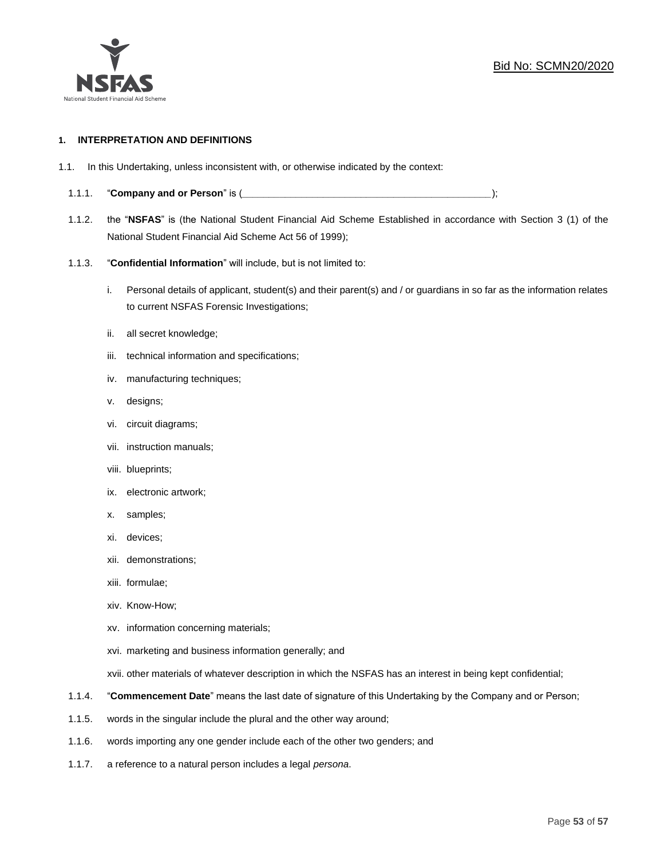

#### **1. INTERPRETATION AND DEFINITIONS**

- 1.1. In this Undertaking, unless inconsistent with, or otherwise indicated by the context:
	- 1.1.1. "**Company and or Person**" is (*\_\_\_\_\_\_\_\_\_\_\_\_\_\_\_\_\_\_\_\_\_\_\_\_\_\_\_\_\_\_\_\_\_\_\_\_\_\_\_\_\_\_\_\_\_\_*);
	- 1.1.2. the "**NSFAS**" is (the National Student Financial Aid Scheme Established in accordance with Section 3 (1) of the National Student Financial Aid Scheme Act 56 of 1999);
	- 1.1.3. "**Confidential Information**" will include, but is not limited to:
		- i. Personal details of applicant, student(s) and their parent(s) and / or guardians in so far as the information relates to current NSFAS Forensic Investigations;
		- ii. all secret knowledge;
		- iii. technical information and specifications;
		- iv. manufacturing techniques;
		- v. designs;
		- vi. circuit diagrams;
		- vii. instruction manuals;
		- viii. blueprints;
		- ix. electronic artwork;
		- x. samples;
		- xi. devices;
		- xii. demonstrations;
		- xiii. formulae;
		- xiv. Know-How;
		- xv. information concerning materials;
		- xvi. marketing and business information generally; and
		- xvii. other materials of whatever description in which the NSFAS has an interest in being kept confidential;
	- 1.1.4. "**Commencement Date**" means the last date of signature of this Undertaking by the Company and or Person;
	- 1.1.5. words in the singular include the plural and the other way around;
	- 1.1.6. words importing any one gender include each of the other two genders; and
	- 1.1.7. a reference to a natural person includes a legal *persona*.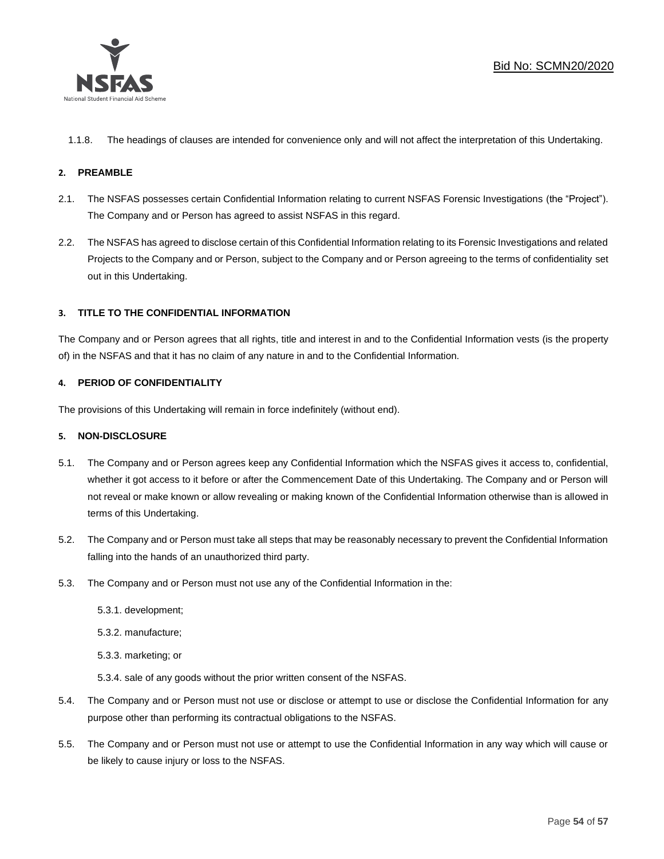

1.1.8. The headings of clauses are intended for convenience only and will not affect the interpretation of this Undertaking.

## **2. PREAMBLE**

- 2.1. The NSFAS possesses certain Confidential Information relating to current NSFAS Forensic Investigations (the "Project"). The Company and or Person has agreed to assist NSFAS in this regard.
- 2.2. The NSFAS has agreed to disclose certain of this Confidential Information relating to its Forensic Investigations and related Projects to the Company and or Person, subject to the Company and or Person agreeing to the terms of confidentiality set out in this Undertaking.

### **3. TITLE TO THE CONFIDENTIAL INFORMATION**

The Company and or Person agrees that all rights, title and interest in and to the Confidential Information vests (is the property of) in the NSFAS and that it has no claim of any nature in and to the Confidential Information.

### **4. PERIOD OF CONFIDENTIALITY**

The provisions of this Undertaking will remain in force indefinitely (without end).

#### **5. NON-DISCLOSURE**

- 5.1. The Company and or Person agrees keep any Confidential Information which the NSFAS gives it access to, confidential, whether it got access to it before or after the Commencement Date of this Undertaking. The Company and or Person will not reveal or make known or allow revealing or making known of the Confidential Information otherwise than is allowed in terms of this Undertaking.
- 5.2. The Company and or Person must take all steps that may be reasonably necessary to prevent the Confidential Information falling into the hands of an unauthorized third party.
- 5.3. The Company and or Person must not use any of the Confidential Information in the:
	- 5.3.1. development;
	- 5.3.2. manufacture;
	- 5.3.3. marketing; or
	- 5.3.4. sale of any goods without the prior written consent of the NSFAS.
- 5.4. The Company and or Person must not use or disclose or attempt to use or disclose the Confidential Information for any purpose other than performing its contractual obligations to the NSFAS.
- 5.5. The Company and or Person must not use or attempt to use the Confidential Information in any way which will cause or be likely to cause injury or loss to the NSFAS.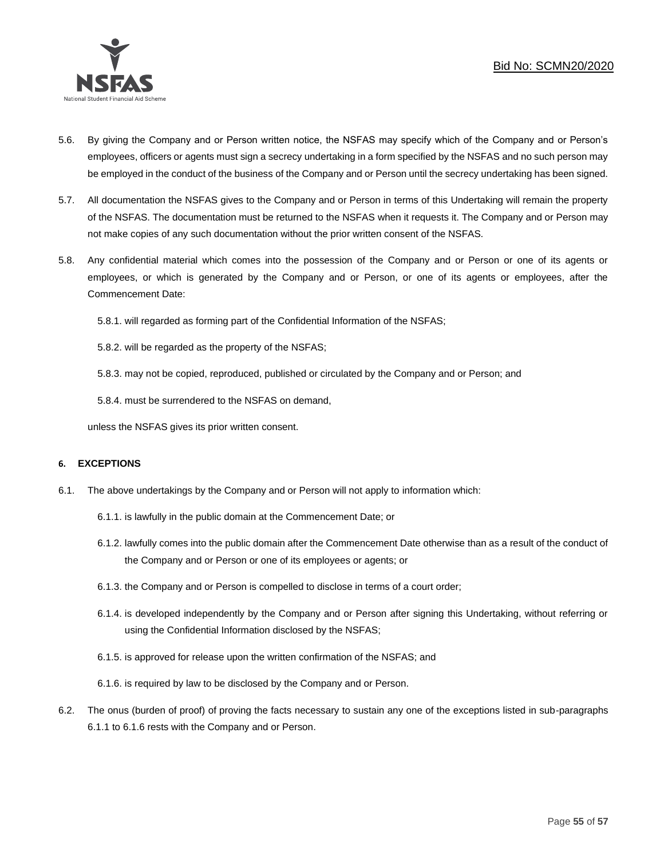

- 5.6. By giving the Company and or Person written notice, the NSFAS may specify which of the Company and or Person's employees, officers or agents must sign a secrecy undertaking in a form specified by the NSFAS and no such person may be employed in the conduct of the business of the Company and or Person until the secrecy undertaking has been signed.
- 5.7. All documentation the NSFAS gives to the Company and or Person in terms of this Undertaking will remain the property of the NSFAS. The documentation must be returned to the NSFAS when it requests it. The Company and or Person may not make copies of any such documentation without the prior written consent of the NSFAS.
- 5.8. Any confidential material which comes into the possession of the Company and or Person or one of its agents or employees, or which is generated by the Company and or Person, or one of its agents or employees, after the Commencement Date:

5.8.1. will regarded as forming part of the Confidential Information of the NSFAS;

5.8.2. will be regarded as the property of the NSFAS;

5.8.3. may not be copied, reproduced, published or circulated by the Company and or Person; and

5.8.4. must be surrendered to the NSFAS on demand,

unless the NSFAS gives its prior written consent.

#### **6. EXCEPTIONS**

- 6.1. The above undertakings by the Company and or Person will not apply to information which:
	- 6.1.1. is lawfully in the public domain at the Commencement Date; or
	- 6.1.2. lawfully comes into the public domain after the Commencement Date otherwise than as a result of the conduct of the Company and or Person or one of its employees or agents; or
	- 6.1.3. the Company and or Person is compelled to disclose in terms of a court order;
	- 6.1.4. is developed independently by the Company and or Person after signing this Undertaking, without referring or using the Confidential Information disclosed by the NSFAS;
	- 6.1.5. is approved for release upon the written confirmation of the NSFAS; and
	- 6.1.6. is required by law to be disclosed by the Company and or Person.
- 6.2. The onus (burden of proof) of proving the facts necessary to sustain any one of the exceptions listed in sub-paragraphs 6.1.1 to 6.1.6 rests with the Company and or Person.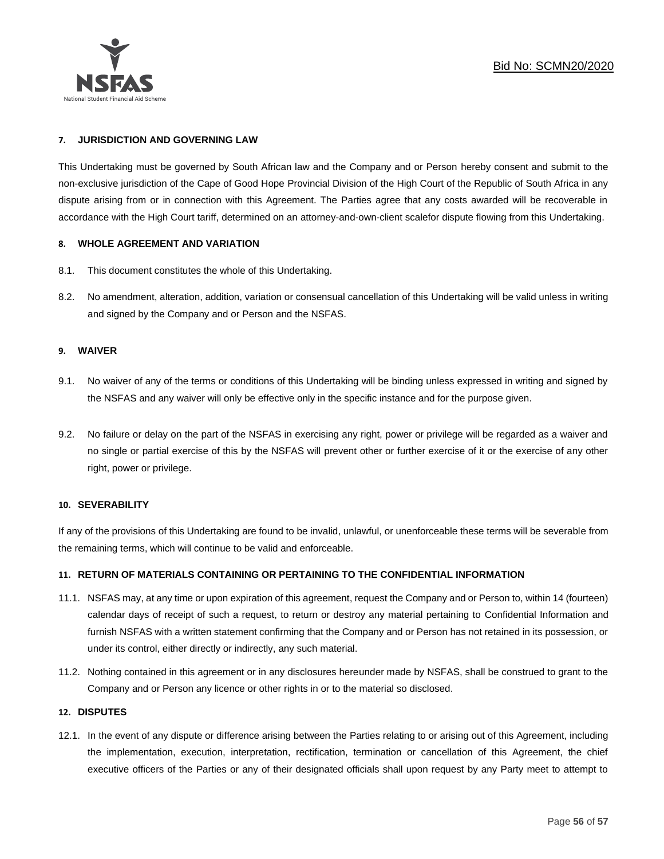

#### **7. JURISDICTION AND GOVERNING LAW**

This Undertaking must be governed by South African law and the Company and or Person hereby consent and submit to the non-exclusive jurisdiction of the Cape of Good Hope Provincial Division of the High Court of the Republic of South Africa in any dispute arising from or in connection with this Agreement. The Parties agree that any costs awarded will be recoverable in accordance with the High Court tariff, determined on an attorney-and-own-client scalefor dispute flowing from this Undertaking.

#### **8. WHOLE AGREEMENT AND VARIATION**

- 8.1. This document constitutes the whole of this Undertaking.
- 8.2. No amendment, alteration, addition, variation or consensual cancellation of this Undertaking will be valid unless in writing and signed by the Company and or Person and the NSFAS.

#### **9. WAIVER**

- 9.1. No waiver of any of the terms or conditions of this Undertaking will be binding unless expressed in writing and signed by the NSFAS and any waiver will only be effective only in the specific instance and for the purpose given.
- 9.2. No failure or delay on the part of the NSFAS in exercising any right, power or privilege will be regarded as a waiver and no single or partial exercise of this by the NSFAS will prevent other or further exercise of it or the exercise of any other right, power or privilege.

#### **10. SEVERABILITY**

If any of the provisions of this Undertaking are found to be invalid, unlawful, or unenforceable these terms will be severable from the remaining terms, which will continue to be valid and enforceable.

#### **11. RETURN OF MATERIALS CONTAINING OR PERTAINING TO THE CONFIDENTIAL INFORMATION**

- 11.1. NSFAS may, at any time or upon expiration of this agreement, request the Company and or Person to, within 14 (fourteen) calendar days of receipt of such a request, to return or destroy any material pertaining to Confidential Information and furnish NSFAS with a written statement confirming that the Company and or Person has not retained in its possession, or under its control, either directly or indirectly, any such material.
- 11.2. Nothing contained in this agreement or in any disclosures hereunder made by NSFAS, shall be construed to grant to the Company and or Person any licence or other rights in or to the material so disclosed.

#### **12. DISPUTES**

12.1. In the event of any dispute or difference arising between the Parties relating to or arising out of this Agreement, including the implementation, execution, interpretation, rectification, termination or cancellation of this Agreement, the chief executive officers of the Parties or any of their designated officials shall upon request by any Party meet to attempt to